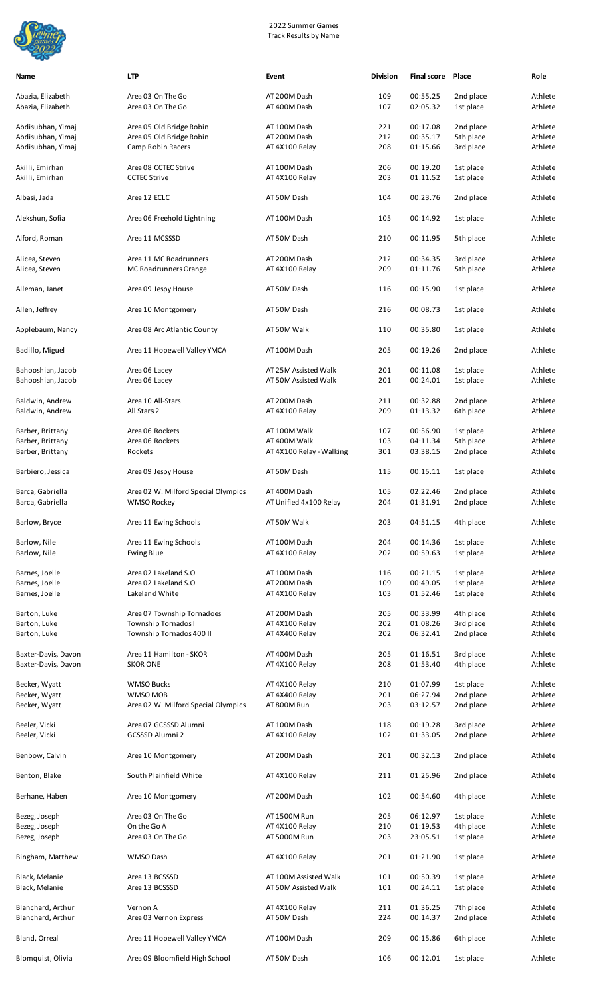

| Name                                   | <b>LTP</b>                                                | Event                                         | <b>Division</b> | <b>Final score Place</b> |                        | Role               |
|----------------------------------------|-----------------------------------------------------------|-----------------------------------------------|-----------------|--------------------------|------------------------|--------------------|
| Abazia, Elizabeth<br>Abazia, Elizabeth | Area 03 On The Go<br>Area 03 On The Go                    | AT 200M Dash<br>AT 400M Dash                  | 109<br>107      | 00:55.25<br>02:05.32     | 2nd place<br>1st place | Athlete<br>Athlete |
|                                        |                                                           |                                               |                 |                          |                        |                    |
| Abdisubhan, Yimaj                      | Area 05 Old Bridge Robin                                  | AT 100M Dash                                  | 221             | 00:17.08                 | 2nd place              | Athlete            |
| Abdisubhan, Yimaj                      | Area 05 Old Bridge Robin                                  | AT 200M Dash                                  | 212             | 00:35.17                 | 5th place              | Athlete            |
| Abdisubhan, Yimaj                      | Camp Robin Racers                                         | AT 4X100 Relay                                | 208             | 01:15.66                 | 3rd place              | Athlete            |
| Akilli, Emirhan                        | Area 08 CCTEC Strive                                      | AT 100M Dash                                  | 206             | 00:19.20                 | 1st place              | Athlete            |
| Akilli, Emirhan                        | <b>CCTEC Strive</b>                                       | AT 4X100 Relay                                | 203             | 01:11.52                 | 1st place              | Athlete            |
| Albasi, Jada                           | Area 12 ECLC                                              | AT 50M Dash                                   | 104             | 00:23.76                 | 2nd place              | Athlete            |
| Alekshun, Sofia                        | Area 06 Freehold Lightning                                | AT 100M Dash                                  | 105             | 00:14.92                 | 1st place              | Athlete            |
|                                        |                                                           |                                               |                 |                          |                        |                    |
| Alford, Roman                          | Area 11 MCSSSD                                            | AT 50M Dash                                   | 210             | 00:11.95                 | 5th place              | Athlete            |
| Alicea, Steven                         | Area 11 MC Roadrunners                                    | AT 200M Dash                                  | 212             | 00:34.35                 | 3rd place              | Athlete            |
| Alicea, Steven                         | MC Roadrunners Orange                                     | AT 4X100 Relay                                | 209             | 01:11.76                 | 5th place              | Athlete            |
| Alleman, Janet                         | Area 09 Jespy House                                       | AT 50M Dash                                   | 116             | 00:15.90                 | 1st place              | Athlete            |
| Allen, Jeffrey                         | Area 10 Montgomery                                        | AT 50M Dash                                   | 216             | 00:08.73                 | 1st place              | Athlete            |
| Applebaum, Nancy                       | Area 08 Arc Atlantic County                               | AT 50M Walk                                   | 110             | 00:35.80                 | 1st place              | Athlete            |
| Badillo, Miguel                        | Area 11 Hopewell Valley YMCA                              | AT 100M Dash                                  | 205             | 00:19.26                 | 2nd place              | Athlete            |
|                                        |                                                           |                                               |                 |                          |                        |                    |
| Bahooshian, Jacob                      | Area 06 Lacey                                             | AT 25M Assisted Walk                          | 201             | 00:11.08                 | 1st place              | Athlete            |
| Bahooshian, Jacob                      | Area 06 Lacey                                             | AT 50M Assisted Walk                          | 201             | 00:24.01                 | 1st place              | Athlete            |
| Baldwin, Andrew                        | Area 10 All-Stars                                         | AT 200M Dash                                  | 211             | 00:32.88                 | 2nd place              | Athlete            |
| Baldwin, Andrew                        | All Stars 2                                               | AT 4X100 Relay                                | 209             | 01:13.32                 | 6th place              | Athlete            |
| Barber, Brittany                       | Area 06 Rockets                                           | AT 100M Walk                                  | 107             | 00:56.90                 | 1st place              | Athlete            |
| Barber, Brittany                       | Area 06 Rockets                                           | AT 400M Walk                                  | 103             | 04:11.34                 | 5th place              | Athlete            |
| Barber, Brittany                       | Rockets                                                   | AT 4X100 Relay - Walking                      | 301             | 03:38.15                 | 2nd place              | Athlete            |
| Barbiero, Jessica                      | Area 09 Jespy House                                       | AT 50M Dash                                   | 115             | 00:15.11                 | 1st place              | Athlete            |
|                                        |                                                           |                                               |                 |                          |                        |                    |
| Barca, Gabriella<br>Barca, Gabriella   | Area 02 W. Milford Special Olympics<br><b>WMSO Rockey</b> | AT 400M Dash<br>AT Unified 4x100 Relay        | 105<br>204      | 02:22.46<br>01:31.91     | 2nd place<br>2nd place | Athlete<br>Athlete |
|                                        |                                                           |                                               |                 |                          |                        |                    |
| Barlow, Bryce                          | Area 11 Ewing Schools                                     | AT 50M Walk                                   | 203             | 04:51.15                 | 4th place              | Athlete            |
| Barlow, Nile                           | Area 11 Ewing Schools                                     | AT 100M Dash                                  | 204             | 00:14.36                 | 1st place              | Athlete            |
| Barlow, Nile                           | Ewing Blue                                                | AT 4X100 Relay                                | 202             | 00:59.63                 | 1st place              | Athlete            |
| Barnes, Joelle                         | Area 02 Lakeland S.O.                                     | AT 100M Dash                                  | 116             | 00:21.15                 | 1st place              | Athlete            |
| Barnes, Joelle                         | Area 02 Lakeland S.O.                                     | AT 200M Dash                                  | 109             | 00:49.05                 | 1st place              | Athlete            |
| Barnes, Joelle                         | Lakeland White                                            | AT 4X100 Relay                                | 103             | 01:52.46                 | 1st place              | Athlete            |
|                                        |                                                           |                                               |                 |                          |                        |                    |
| Barton, Luke                           | Area 07 Township Tornadoes                                | AT 200M Dash                                  | 205             | 00:33.99                 | 4th place              | Athlete            |
| Barton, Luke                           | Township Tornados II                                      | AT 4X100 Relay                                | 202             | 01:08.26                 | 3rd place              | Athlete            |
| Barton, Luke                           | Township Tornados 400 II                                  | AT 4X400 Relay                                | 202             | 06:32.41                 | 2nd place              | Athlete            |
| Baxter-Davis, Davon                    | Area 11 Hamilton - SKOR                                   | AT 400M Dash                                  | 205             | 01:16.51                 | 3rd place              | Athlete            |
| Baxter-Davis, Davon                    | <b>SKOR ONE</b>                                           | AT 4X100 Relay                                | 208             | 01:53.40                 | 4th place              | Athlete            |
|                                        | <b>WMSO Bucks</b>                                         |                                               | 210             | 01:07.99                 | 1st place              | Athlete            |
| Becker, Wyatt<br>Becker, Wyatt         | <b>WMSO MOB</b>                                           | AT 4X100 Relay<br>AT 4X400 Relay              | 201             | 06:27.94                 | 2nd place              | Athlete            |
| Becker, Wyatt                          | Area 02 W. Milford Special Olympics                       | AT 800M Run                                   | 203             | 03:12.57                 | 2nd place              | Athlete            |
|                                        |                                                           |                                               |                 |                          |                        |                    |
| Beeler, Vicki                          | Area 07 GCSSSD Alumni                                     | AT 100M Dash                                  | 118             | 00:19.28                 | 3rd place              | Athlete            |
| Beeler, Vicki                          | <b>GCSSSD Alumni 2</b>                                    | AT 4X100 Relay                                | 102             | 01:33.05                 | 2nd place              | Athlete            |
| Benbow, Calvin                         | Area 10 Montgomery                                        | AT 200M Dash                                  | 201             | 00:32.13                 | 2nd place              | Athlete            |
| Benton, Blake                          | South Plainfield White                                    | AT 4X100 Relay                                | 211             | 01:25.96                 | 2nd place              | Athlete            |
| Berhane, Haben                         | Area 10 Montgomery                                        | AT 200M Dash                                  | 102             | 00:54.60                 | 4th place              | Athlete            |
| Bezeg, Joseph                          | Area 03 On The Go                                         | AT 1500M Run                                  | 205             | 06:12.97                 | 1st place              | Athlete            |
| Bezeg, Joseph                          | On the Go A                                               | AT 4X100 Relay                                | 210             | 01:19.53                 | 4th place              | Athlete            |
| Bezeg, Joseph                          | Area 03 On The Go                                         | AT 5000M Run                                  | 203             | 23:05.51                 | 1st place              | Athlete            |
| Bingham, Matthew                       | WMSO Dash                                                 | AT 4X100 Relay                                | 201             | 01:21.90                 | 1st place              | Athlete            |
|                                        |                                                           |                                               |                 |                          |                        |                    |
| Black, Melanie<br>Black, Melanie       | Area 13 BCSSSD<br>Area 13 BCSSSD                          | AT 100M Assisted Walk<br>AT 50M Assisted Walk | 101<br>101      | 00:50.39<br>00:24.11     | 1st place<br>1st place | Athlete<br>Athlete |
|                                        |                                                           |                                               |                 |                          |                        |                    |
| Blanchard, Arthur                      | Vernon A                                                  | AT 4X100 Relay                                | 211             | 01:36.25                 | 7th place              | Athlete            |
| Blanchard, Arthur                      | Area 03 Vernon Express                                    | AT 50M Dash                                   | 224             | 00:14.37                 | 2nd place              | Athlete            |
| Bland, Orreal                          | Area 11 Hopewell Valley YMCA                              | AT 100M Dash                                  | 209             | 00:15.86                 | 6th place              | Athlete            |
| Blomquist, Olivia                      | Area 09 Bloomfield High School                            | AT 50M Dash                                   | 106             | 00:12.01                 | 1st place              | Athlete            |
|                                        |                                                           |                                               |                 |                          |                        |                    |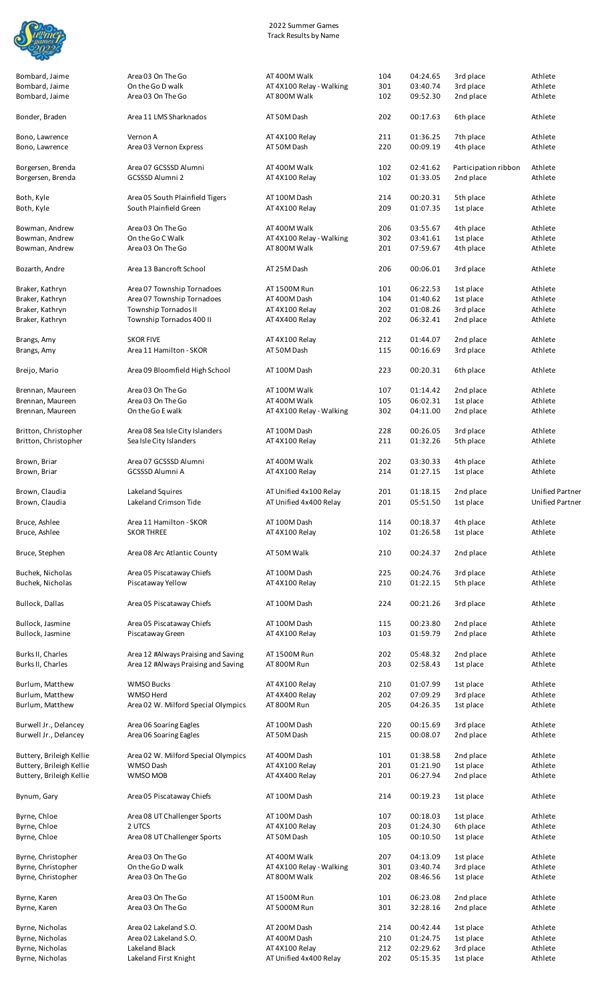

Bombard, Jaime Bombard, Jaime

| Bombard, Jaime                                 | Area 03 On The Go                                | AT 400M Walk                             | 104        | 04:24.65             | 3rd place              | Athlete                |
|------------------------------------------------|--------------------------------------------------|------------------------------------------|------------|----------------------|------------------------|------------------------|
| Bombard, Jaime                                 | On the Go D walk                                 | AT 4X100 Relay - Walking                 | 301        | 03:40.74             | 3rd place              | Athlete                |
| Bombard, Jaime                                 | Area 03 On The Go                                | AT 800M Walk                             | 102        | 09:52.30             | 2nd place              | Athlete                |
|                                                |                                                  |                                          |            |                      |                        |                        |
| Bonder, Braden                                 | Area 11 LMS Sharknados                           | AT 50M Dash                              | 202        | 00:17.63             | 6th place              | Athlete                |
| Bono, Lawrence                                 | Vernon A                                         | AT 4X100 Relay                           | 211        | 01:36.25             | 7th place              | Athlete                |
| Bono, Lawrence                                 | Area 03 Vernon Express                           | AT 50M Dash                              | 220        | 00:09.19             | 4th place              | Athlete                |
|                                                |                                                  |                                          |            |                      |                        |                        |
| Borgersen, Brenda                              | Area 07 GCSSSD Alumni                            | AT 400M Walk                             | 102        | 02:41.62             | Participation ribbon   | Athlete                |
| Borgersen, Brenda                              | <b>GCSSSD Alumni 2</b>                           | AT 4X100 Relay                           | 102        | 01:33.05             | 2nd place              | Athlete                |
| Both, Kyle                                     | Area 05 South Plainfield Tigers                  | AT 100M Dash                             | 214        | 00:20.31             | 5th place              | Athlete                |
| Both, Kyle                                     | South Plainfield Green                           | AT 4X100 Relay                           | 209        | 01:07.35             | 1st place              | Athlete                |
|                                                |                                                  |                                          |            |                      |                        |                        |
| Bowman, Andrew                                 | Area 03 On The Go                                | AT 400M Walk                             | 206        | 03:55.67             | 4th place              | Athlete                |
| Bowman, Andrew                                 | On the Go C Walk                                 | AT 4X100 Relay - Walking                 | 302        | 03:41.61             | 1st place              | Athlete                |
| Bowman, Andrew                                 | Area 03 On The Go                                | AT 800M Walk                             | 201        | 07:59.67             | 4th place              | Athlete                |
| Bozarth, Andre                                 | Area 13 Bancroft School                          | AT 25M Dash                              | 206        | 00:06.01             | 3rd place              | Athlete                |
|                                                |                                                  |                                          |            |                      |                        |                        |
| Braker, Kathryn                                | Area 07 Township Tornadoes                       | AT 1500M Run                             | 101        | 06:22.53             | 1st place              | Athlete                |
| Braker, Kathryn                                | Area 07 Township Tornadoes                       | AT 400M Dash                             | 104        | 01:40.62             | 1st place              | Athlete                |
| Braker, Kathryn                                | Township Tornados II                             | AT 4X100 Relay                           | 202        | 01:08.26             | 3rd place              | Athlete                |
| Braker, Kathryn                                | Township Tornados 400 II                         | AT 4X400 Relay                           | 202        | 06:32.41             | 2nd place              | Athlete                |
| Brangs, Amy                                    | <b>SKOR FIVE</b>                                 | AT 4X100 Relay                           | 212        | 01:44.07             | 2nd place              | Athlete                |
| Brangs, Amy                                    | Area 11 Hamilton - SKOR                          | AT 50M Dash                              | 115        | 00:16.69             | 3rd place              | Athlete                |
|                                                |                                                  |                                          |            |                      |                        |                        |
| Breijo, Mario                                  | Area 09 Bloomfield High School                   | AT 100M Dash                             | 223        | 00:20.31             | 6th place              | Athlete                |
| Brennan, Maureen                               | Area 03 On The Go                                | AT 100M Walk                             | 107        | 01:14.42             | 2nd place              | Athlete                |
| Brennan, Maureen                               | Area 03 On The Go                                | AT 400M Walk                             | 105        | 06:02.31             | 1st place              | Athlete                |
| Brennan, Maureen                               | On the Go E walk                                 | AT 4X100 Relay - Walking                 | 302        | 04:11.00             | 2nd place              | Athlete                |
|                                                |                                                  |                                          |            |                      |                        |                        |
| Britton, Christopher                           | Area 08 Sea Isle City Islanders                  | AT 100M Dash                             | 228        | 00:26.05             | 3rd place              | Athlete                |
| Britton, Christopher                           | Sea Isle City Islanders                          | AT 4X100 Relay                           | 211        | 01:32.26             | 5th place              | Athlete                |
| Brown, Briar                                   | Area 07 GCSSSD Alumni                            | AT 400M Walk                             | 202        | 03:30.33             | 4th place              | Athlete                |
| Brown, Briar                                   | <b>GCSSSD Alumni A</b>                           | AT 4X100 Relay                           | 214        | 01:27.15             | 1st place              | Athlete                |
|                                                |                                                  |                                          |            |                      |                        |                        |
| Brown, Claudia                                 | Lakeland Squires                                 | AT Unified 4x100 Relay                   | 201        | 01:18.15             | 2nd place              | <b>Unified Partner</b> |
| Brown, Claudia                                 | Lakeland Crimson Tide                            | AT Unified 4x400 Relay                   | 201        | 05:51.50             | 1st place              | <b>Unified Partner</b> |
| Bruce, Ashlee                                  | Area 11 Hamilton - SKOR                          | AT 100M Dash                             | 114        | 00:18.37             | 4th place              | Athlete                |
| Bruce, Ashlee                                  | <b>SKOR THREE</b>                                | AT 4X100 Relay                           | 102        | 01:26.58             | 1st place              | Athlete                |
|                                                |                                                  |                                          |            |                      |                        |                        |
| Bruce, Stephen                                 | Area 08 Arc Atlantic County                      | AT 50M Walk                              | 210        | 00:24.37             | 2nd place              | Athlete                |
|                                                |                                                  |                                          |            |                      |                        |                        |
| Buchek, Nicholas<br>Buchek, Nicholas           | Area 05 Piscataway Chiefs                        | AT 100M Dash                             | 225        | 00:24.76             | 3rd place<br>5th place | Athlete<br>Athlete     |
|                                                | Piscataway Yellow                                | AT 4X100 Relay                           | 210        | 01:22.15             |                        |                        |
| Bullock, Dallas                                | Area 05 Piscataway Chiefs                        | AT 100M Dash                             | 224        | 00:21.26             | 3rd place              | Athlete                |
|                                                |                                                  |                                          |            |                      |                        |                        |
| Bullock, Jasmine                               | Area 05 Piscataway Chiefs                        | AT 100M Dash                             | 115        | 00:23.80             | 2nd place              | Athlete                |
| Bullock, Jasmine                               | Piscataway Green                                 | AT 4X100 Relay                           | 103        | 01:59.79             | 2nd place              | Athlete                |
| Burks II, Charles                              | Area 12 #Always Praising and Saving              | AT 1500M Run                             | 202        | 05:48.32             | 2nd place              | Athlete                |
| Burks II, Charles                              | Area 12 #Always Praising and Saving              | AT 800M Run                              | 203        | 02:58.43             | 1st place              | Athlete                |
|                                                |                                                  |                                          |            |                      |                        |                        |
| Burlum, Matthew                                | <b>WMSO Bucks</b>                                | AT 4X100 Relay                           | 210        | 01:07.99             | 1st place              | Athlete                |
| Burlum, Matthew                                | WMSO Herd                                        | AT 4X400 Relay                           | 202        | 07:09.29             | 3rd place              | Athlete                |
| Burlum, Matthew                                | Area 02 W. Milford Special Olympics              | AT 800M Run                              | 205        | 04:26.35             | 1st place              | Athlete                |
|                                                |                                                  |                                          |            |                      |                        |                        |
| Burwell Jr., Delancey<br>Burwell Jr., Delancey | Area 06 Soaring Eagles<br>Area 06 Soaring Eagles | AT 100M Dash<br>AT 50M Dash              | 220<br>215 | 00:15.69<br>00:08.07 | 3rd place<br>2nd place | Athlete<br>Athlete     |
|                                                |                                                  |                                          |            |                      |                        |                        |
| Buttery, Brileigh Kellie                       | Area 02 W. Milford Special Olympics              | AT 400M Dash                             | 101        | 01:38.58             | 2nd place              | Athlete                |
| Buttery, Brileigh Kellie                       | WMSO Dash                                        | AT 4X100 Relay                           | 201        | 01:21.90             | 1st place              | Athlete                |
| Buttery, Brileigh Kellie                       | WMSO MOB                                         | AT 4X400 Relay                           | 201        | 06:27.94             | 2nd place              | Athlete                |
|                                                |                                                  |                                          |            |                      |                        |                        |
| Bynum, Gary                                    | Area 05 Piscataway Chiefs                        | AT 100M Dash                             | 214        | 00:19.23             | 1st place              | Athlete                |
| Byrne, Chloe                                   | Area 08 UT Challenger Sports                     | AT 100M Dash                             | 107        | 00:18.03             | 1st place              | Athlete                |
| Byrne, Chloe                                   | 2 UTCS                                           | AT 4X100 Relay                           | 203        | 01:24.30             | 6th place              | Athlete                |
| Byrne, Chloe                                   | Area 08 UT Challenger Sports                     | AT 50M Dash                              | 105        | 00:10.50             | 1st place              | Athlete                |
|                                                |                                                  |                                          |            |                      |                        |                        |
| Byrne, Christopher                             | Area 03 On The Go                                | AT 400M Walk                             | 207        | 04:13.09             | 1st place              | Athlete                |
| Byrne, Christopher<br>Byrne, Christopher       | On the Go D walk<br>Area 03 On The Go            | AT 4X100 Relay - Walking<br>AT 800M Walk | 301<br>202 | 03:40.74<br>08:46.56 | 3rd place<br>1st place | Athlete<br>Athlete     |
|                                                |                                                  |                                          |            |                      |                        |                        |
| Byrne, Karen                                   | Area 03 On The Go                                | AT 1500M Run                             | 101        | 06:23.08             | 2nd place              | Athlete                |
| Byrne, Karen                                   | Area 03 On The Go                                | AT 5000M Run                             | 301        | 32:28.16             | 2nd place              | Athlete                |
|                                                |                                                  |                                          |            |                      |                        |                        |
| Byrne, Nicholas                                | Area 02 Lakeland S.O.                            | AT 200M Dash                             | 214        | 00:42.44             | 1st place              | Athlete                |
| Byrne, Nicholas<br>Byrne, Nicholas             | Area 02 Lakeland S.O.<br>Lakeland Black          | AT 400M Dash                             | 210        | 01:24.75             | 1st place              | Athlete                |
|                                                |                                                  | AT 4X100 Relay                           | 212<br>202 | 02:29.62<br>05:15.35 | 3rd place              | Athlete<br>Athlete     |
| Byrne, Nicholas                                | Lakeland First Knight                            | AT Unified 4x400 Relay                   |            |                      | 1st place              |                        |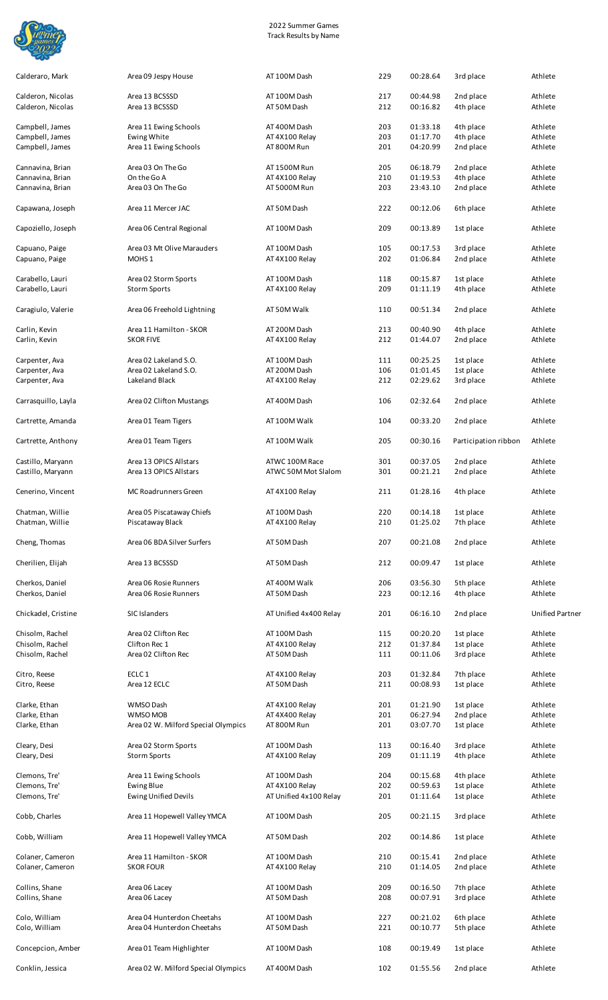

| Calderaro, Mark                        | Area 09 Jespy House                                      | AT 100M Dash                   | 229        | 00:28.64             | 3rd place              | Athlete                |
|----------------------------------------|----------------------------------------------------------|--------------------------------|------------|----------------------|------------------------|------------------------|
| Calderon, Nicolas<br>Calderon, Nicolas | Area 13 BCSSSD<br>Area 13 BCSSSD                         | AT 100M Dash<br>AT 50M Dash    | 217<br>212 | 00:44.98<br>00:16.82 | 2nd place<br>4th place | Athlete<br>Athlete     |
|                                        |                                                          |                                |            |                      |                        |                        |
| Campbell, James                        | Area 11 Ewing Schools                                    | AT 400M Dash                   | 203        | 01:33.18<br>01:17.70 | 4th place              | Athlete                |
| Campbell, James<br>Campbell, James     | Ewing White<br>Area 11 Ewing Schools                     | AT 4X100 Relay<br>AT 800M Run  | 203<br>201 | 04:20.99             | 4th place<br>2nd place | Athlete<br>Athlete     |
|                                        | Area 03 On The Go                                        | AT 1500M Run                   | 205        | 06:18.79             | 2nd place              | Athlete                |
| Cannavina, Brian<br>Cannavina, Brian   | On the Go A                                              | AT 4X100 Relay                 | 210        | 01:19.53             | 4th place              | Athlete                |
| Cannavina, Brian                       | Area 03 On The Go                                        | AT 5000M Run                   | 203        | 23:43.10             | 2nd place              | Athlete                |
| Capawana, Joseph                       | Area 11 Mercer JAC                                       | AT 50M Dash                    | 222        | 00:12.06             | 6th place              | Athlete                |
| Capoziello, Joseph                     | Area 06 Central Regional                                 | AT 100M Dash                   | 209        | 00:13.89             | 1st place              | Athlete                |
| Capuano, Paige                         | Area 03 Mt Olive Marauders                               | AT 100M Dash                   | 105        | 00:17.53             | 3rd place              | Athlete                |
| Capuano, Paige                         | MOHS <sub>1</sub>                                        | AT 4X100 Relay                 | 202        | 01:06.84             | 2nd place              | Athlete                |
| Carabello, Lauri                       | Area 02 Storm Sports                                     | AT 100M Dash                   | 118        | 00:15.87             | 1st place              | Athlete                |
| Carabello, Lauri                       | <b>Storm Sports</b>                                      | AT 4X100 Relay                 | 209        | 01:11.19             | 4th place              | Athlete                |
|                                        |                                                          |                                |            |                      |                        |                        |
| Caragiulo, Valerie                     | Area 06 Freehold Lightning                               | AT 50M Walk                    | 110        | 00:51.34             | 2nd place              | Athlete                |
| Carlin, Kevin<br>Carlin, Kevin         | Area 11 Hamilton - SKOR<br><b>SKOR FIVE</b>              | AT 200M Dash<br>AT 4X100 Relay | 213<br>212 | 00:40.90<br>01:44.07 | 4th place<br>2nd place | Athlete<br>Athlete     |
|                                        |                                                          |                                |            |                      |                        |                        |
| Carpenter, Ava                         | Area 02 Lakeland S.O.                                    | AT 100M Dash                   | 111        | 00:25.25             | 1st place              | Athlete                |
| Carpenter, Ava                         | Area 02 Lakeland S.O.                                    | AT 200M Dash                   | 106        | 01:01.45             | 1st place              | Athlete                |
| Carpenter, Ava                         | Lakeland Black                                           | AT 4X100 Relay                 | 212        | 02:29.62             | 3rd place              | Athlete                |
| Carrasquillo, Layla                    | Area 02 Clifton Mustangs                                 | AT 400M Dash                   | 106        | 02:32.64             | 2nd place              | Athlete                |
| Cartrette, Amanda                      | Area 01 Team Tigers                                      | AT 100M Walk                   | 104        | 00:33.20             | 2nd place              | Athlete                |
| Cartrette, Anthony                     | Area 01 Team Tigers                                      | AT 100M Walk                   | 205        | 00:30.16             | Participation ribbon   | Athlete                |
| Castillo, Maryann                      | Area 13 OPICS Allstars                                   | ATWC 100M Race                 | 301        | 00:37.05             | 2nd place              | Athlete                |
| Castillo, Maryann                      | Area 13 OPICS Allstars                                   | ATWC 50M Mot Slalom            | 301        | 00:21.21             | 2nd place              | Athlete                |
| Cenerino, Vincent                      | MC Roadrunners Green                                     | AT 4X100 Relay                 | 211        | 01:28.16             | 4th place              | Athlete                |
| Chatman, Willie                        | Area 05 Piscataway Chiefs                                | AT 100M Dash                   | 220        | 00:14.18             | 1st place              | Athlete                |
| Chatman, Willie                        | Piscataway Black                                         | AT 4X100 Relay                 | 210        | 01:25.02             | 7th place              | Athlete                |
| Cheng, Thomas                          | Area 06 BDA Silver Surfers                               | AT 50M Dash                    | 207        | 00:21.08             | 2nd place              | Athlete                |
| Cherilien, Elijah                      | Area 13 BCSSSD                                           | AT 50M Dash                    | 212        | 00:09.47             | 1st place              | Athlete                |
| Cherkos, Daniel                        | Area 06 Rosie Runners                                    | AT 400M Walk                   | 206        | 03:56.30             | 5th place              | Athlete                |
| Cherkos, Daniel                        | Area 06 Rosie Runners                                    | AT 50M Dash                    | 223        | 00:12.16             | 4th place              | Athlete                |
| Chickadel, Cristine                    | SIC Islanders                                            | AT Unified 4x400 Relay         | 201        | 06:16.10             | 2nd place              | <b>Unified Partner</b> |
| Chisolm, Rachel                        | Area 02 Clifton Rec                                      | AT 100M Dash                   | 115        | 00:20.20             | 1st place              | Athlete                |
| Chisolm, Rachel                        | Clifton Rec 1                                            | AT 4X100 Relay                 | 212        | 01:37.84             | 1st place              | Athlete                |
| Chisolm, Rachel                        | Area 02 Clifton Rec                                      | AT 50M Dash                    | 111        | 00:11.06             | 3rd place              | Athlete                |
| Citro, Reese                           | ECLC <sub>1</sub>                                        | AT 4X100 Relay                 | 203        | 01:32.84             | 7th place              | Athlete                |
| Citro, Reese                           | Area 12 ECLC                                             | AT 50M Dash                    | 211        | 00:08.93             | 1st place              | Athlete                |
| Clarke, Ethan                          | WMSO Dash                                                | AT 4X100 Relay                 | 201        | 01:21.90             | 1st place              | Athlete                |
| Clarke, Ethan                          | <b>WMSO MOB</b>                                          | AT 4X400 Relay                 | 201        | 06:27.94             | 2nd place              | Athlete                |
| Clarke, Ethan                          | Area 02 W. Milford Special Olympics                      | AT 800M Run                    | 201        | 03:07.70             | 1st place              | Athlete                |
| Cleary, Desi                           | Area 02 Storm Sports                                     | AT 100M Dash                   | 113        | 00:16.40             | 3rd place              | Athlete                |
| Cleary, Desi                           | <b>Storm Sports</b>                                      | AT 4X100 Relay                 | 209        | 01:11.19             | 4th place              | Athlete                |
|                                        |                                                          |                                |            |                      |                        |                        |
| Clemons, Tre'<br>Clemons, Tre'         | Area 11 Ewing Schools<br><b>Ewing Blue</b>               | AT 100M Dash<br>AT 4X100 Relay | 204<br>202 | 00:15.68<br>00:59.63 | 4th place<br>1st place | Athlete<br>Athlete     |
| Clemons, Tre'                          | <b>Ewing Unified Devils</b>                              | AT Unified 4x100 Relay         | 201        | 01:11.64             | 1st place              | Athlete                |
| Cobb, Charles                          | Area 11 Hopewell Valley YMCA                             | AT 100M Dash                   | 205        | 00:21.15             | 3rd place              | Athlete                |
| Cobb, William                          | Area 11 Hopewell Valley YMCA                             | AT 50M Dash                    | 202        | 00:14.86             | 1st place              | Athlete                |
|                                        | Area 11 Hamilton - SKOR                                  |                                | 210        | 00:15.41             | 2nd place              | Athlete                |
| Colaner, Cameron<br>Colaner, Cameron   | <b>SKOR FOUR</b>                                         | AT 100M Dash<br>AT 4X100 Relay | 210        | 01:14.05             | 2nd place              | Athlete                |
| Collins, Shane                         | Area 06 Lacey                                            | AT 100M Dash                   | 209        | 00:16.50             | 7th place              | Athlete                |
| Collins, Shane                         | Area 06 Lacey                                            | AT 50M Dash                    | 208        | 00:07.91             | 3rd place              | Athlete                |
|                                        |                                                          |                                |            |                      |                        |                        |
| Colo, William<br>Colo, William         | Area 04 Hunterdon Cheetahs<br>Area 04 Hunterdon Cheetahs | AT 100M Dash<br>AT 50M Dash    | 227<br>221 | 00:21.02<br>00:10.77 | 6th place<br>5th place | Athlete<br>Athlete     |
|                                        |                                                          |                                |            |                      |                        |                        |
| Concepcion, Amber                      | Area 01 Team Highlighter                                 | AT 100M Dash                   | 108        | 00:19.49             | 1st place              | Athlete                |
| Conklin, Jessica                       | Area 02 W. Milford Special Olympics                      | AT 400M Dash                   | 102        | 01:55.56             | 2nd place              | Athlete                |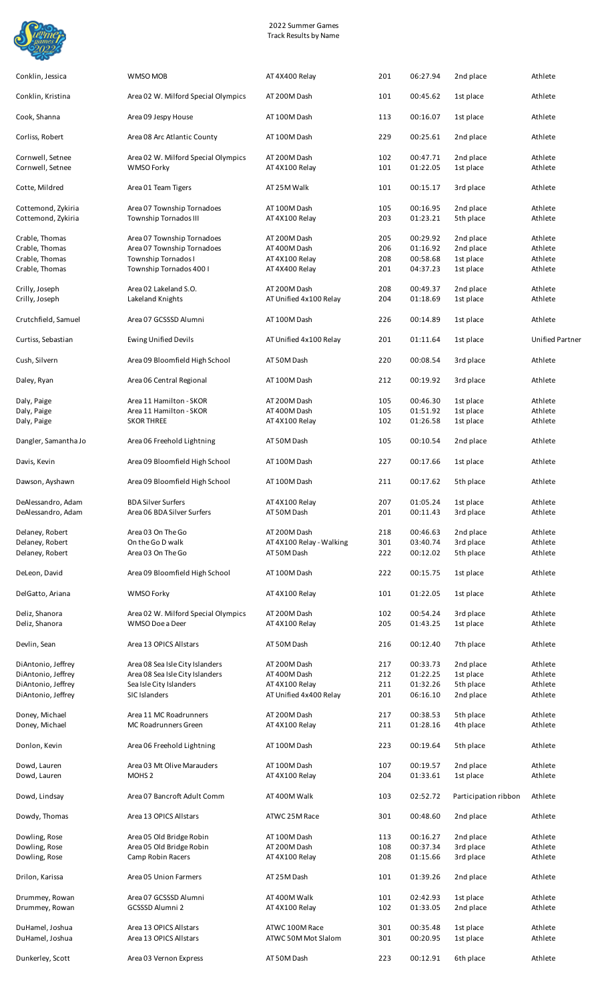

| Conklin, Jessica                         | WMSO MOB                                                   | AT 4X400 Relay                         | 201        | 06:27.94             | 2nd place              | Athlete                |
|------------------------------------------|------------------------------------------------------------|----------------------------------------|------------|----------------------|------------------------|------------------------|
| Conklin, Kristina                        | Area 02 W. Milford Special Olympics                        | AT 200M Dash                           | 101        | 00:45.62             | 1st place              | Athlete                |
| Cook, Shanna                             | Area 09 Jespy House                                        | AT 100M Dash                           | 113        | 00:16.07             | 1st place              | Athlete                |
| Corliss, Robert                          | Area 08 Arc Atlantic County                                | AT 100M Dash                           | 229        | 00:25.61             | 2nd place              | Athlete                |
| Cornwell, Setnee<br>Cornwell, Setnee     | Area 02 W. Milford Special Olympics<br>WMSO Forky          | AT 200M Dash<br>AT 4X100 Relay         | 102<br>101 | 00:47.71<br>01:22.05 | 2nd place<br>1st place | Athlete<br>Athlete     |
| Cotte, Mildred                           | Area 01 Team Tigers                                        | AT 25M Walk                            | 101        | 00:15.17             | 3rd place              | Athlete                |
| Cottemond, Zykiria<br>Cottemond, Zykiria | Area 07 Township Tornadoes<br>Township Tornados III        | AT 100M Dash<br>AT 4X100 Relay         | 105<br>203 | 00:16.95<br>01:23.21 | 2nd place<br>5th place | Athlete<br>Athlete     |
| Crable, Thomas                           | Area 07 Township Tornadoes                                 | AT 200M Dash                           | 205        | 00:29.92             | 2nd place              | Athlete                |
| Crable, Thomas                           | Area 07 Township Tornadoes                                 | AT 400M Dash                           | 206        | 01:16.92             | 2nd place              | Athlete                |
| Crable, Thomas<br>Crable, Thomas         | Township Tornados I<br>Township Tornados 400 I             | AT 4X100 Relay<br>AT 4X400 Relay       | 208<br>201 | 00:58.68<br>04:37.23 | 1st place<br>1st place | Athlete<br>Athlete     |
|                                          |                                                            |                                        |            |                      |                        |                        |
| Crilly, Joseph<br>Crilly, Joseph         | Area 02 Lakeland S.O.<br>Lakeland Knights                  | AT 200M Dash<br>AT Unified 4x100 Relay | 208<br>204 | 00:49.37<br>01:18.69 | 2nd place<br>1st place | Athlete<br>Athlete     |
| Crutchfield, Samuel                      | Area 07 GCSSSD Alumni                                      | AT 100M Dash                           | 226        | 00:14.89             | 1st place              | Athlete                |
| Curtiss, Sebastian                       | <b>Ewing Unified Devils</b>                                | AT Unified 4x100 Relay                 | 201        | 01:11.64             | 1st place              | <b>Unified Partner</b> |
| Cush, Silvern                            | Area 09 Bloomfield High School                             | AT 50M Dash                            | 220        | 00:08.54             | 3rd place              | Athlete                |
| Daley, Ryan                              | Area 06 Central Regional                                   | AT 100M Dash                           | 212        | 00:19.92             | 3rd place              | Athlete                |
| Daly, Paige                              | Area 11 Hamilton - SKOR                                    | AT 200M Dash                           | 105        | 00:46.30             | 1st place              | Athlete                |
| Daly, Paige                              | Area 11 Hamilton - SKOR                                    | AT 400M Dash                           | 105        | 01:51.92             | 1st place              | Athlete                |
| Daly, Paige                              | <b>SKOR THREE</b>                                          | AT 4X100 Relay                         | 102        | 01:26.58             | 1st place              | Athlete                |
| Dangler, Samantha Jo                     | Area 06 Freehold Lightning                                 | AT 50M Dash                            | 105        | 00:10.54             | 2nd place              | Athlete                |
| Davis, Kevin                             | Area 09 Bloomfield High School                             | AT 100M Dash                           | 227        | 00:17.66             | 1st place              | Athlete                |
| Dawson, Ayshawn                          | Area 09 Bloomfield High School                             | AT 100M Dash                           | 211        | 00:17.62             | 5th place              | Athlete                |
| DeAlessandro, Adam                       | <b>BDA Silver Surfers</b>                                  | AT 4X100 Relay                         | 207        | 01:05.24             | 1st place              | Athlete                |
| DeAlessandro, Adam                       | Area 06 BDA Silver Surfers                                 | AT 50M Dash                            | 201        | 00:11.43             | 3rd place              | Athlete                |
| Delaney, Robert                          | Area 03 On The Go                                          | AT 200M Dash                           | 218        | 00:46.63             | 2nd place              | Athlete                |
| Delaney, Robert                          | On the Go D walk                                           | AT 4X100 Relay - Walking               | 301        | 03:40.74             | 3rd place              | Athlete                |
| Delaney, Robert                          | Area 03 On The Go                                          | AT 50M Dash                            | 222        | 00:12.02             | 5th place              | Athlete                |
| DeLeon, David                            | Area 09 Bloomfield High School                             | AT 100M Dash                           | 222        | 00:15.75             | 1st place              | Athlete                |
| Del Gatto, Ariana                        | WMSO Forky                                                 | AT 4X100 Relay                         | 101        | 01:22.05             | 1st place              | Athlete                |
| Deliz, Shanora                           | Area 02 W. Milford Special Olympics                        | AT 200M Dash                           | 102        | 00:54.24             | 3rd place              | Athlete                |
| Deliz, Shanora                           | WMSO Doe a Deer                                            | AT 4X100 Relay                         | 205        | 01:43.25             | 1st place              | Athlete                |
| Devlin, Sean                             | Area 13 OPICS Allstars                                     | AT 50M Dash                            | 216        | 00:12.40             | 7th place              | Athlete                |
| DiAntonio, Jeffrey                       | Area 08 Sea Isle City Islanders                            | AT 200M Dash                           | 217        | 00:33.73             | 2nd place              | Athlete                |
| DiAntonio, Jeffrey<br>DiAntonio, Jeffrey | Area 08 Sea Isle City Islanders<br>Sea Isle City Islanders | AT 400M Dash<br>AT 4X100 Relay         | 212<br>211 | 01:22.25<br>01:32.26 | 1st place<br>5th place | Athlete<br>Athlete     |
| DiAntonio, Jeffrey                       | SIC Islanders                                              | AT Unified 4x400 Relay                 | 201        | 06:16.10             | 2nd place              | Athlete                |
|                                          |                                                            |                                        |            |                      |                        |                        |
| Doney, Michael<br>Doney, Michael         | Area 11 MC Roadrunners<br>MC Roadrunners Green             | AT 200M Dash<br>AT 4X100 Relay         | 217<br>211 | 00:38.53<br>01:28.16 | 5th place<br>4th place | Athlete<br>Athlete     |
| Donlon, Kevin                            | Area 06 Freehold Lightning                                 | AT 100M Dash                           | 223        | 00:19.64             | 5th place              | Athlete                |
| Dowd, Lauren                             | Area 03 Mt Olive Marauders                                 | AT 100M Dash                           | 107        | 00:19.57             | 2nd place              | Athlete                |
| Dowd, Lauren                             | MOHS <sub>2</sub>                                          | AT 4X100 Relay                         | 204        | 01:33.61             | 1st place              | Athlete                |
| Dowd, Lindsay                            | Area 07 Bancroft Adult Comm                                | AT 400M Walk                           | 103        | 02:52.72             | Participation ribbon   | Athlete                |
| Dowdy, Thomas                            | Area 13 OPICS Allstars                                     | ATWC 25M Race                          | 301        | 00:48.60             | 2nd place              | Athlete                |
| Dowling, Rose                            | Area 05 Old Bridge Robin                                   | AT 100M Dash                           | 113        | 00:16.27             | 2nd place              | Athlete                |
| Dowling, Rose                            | Area 05 Old Bridge Robin                                   | AT 200M Dash                           | 108        | 00:37.34             | 3rd place              | Athlete                |
| Dowling, Rose                            | Camp Robin Racers                                          | AT 4X100 Relay                         | 208        | 01:15.66             | 3rd place              | Athlete                |
| Drilon, Karissa                          | Area 05 Union Farmers                                      | AT 25M Dash                            | 101        | 01:39.26             | 2nd place              | Athlete                |
| Drummey, Rowan                           | Area 07 GCSSSD Alumni                                      | AT 400M Walk                           | 101        | 02:42.93             | 1st place              | Athlete                |
| Drummey, Rowan                           | GCSSSD Alumni 2                                            | AT 4X100 Relay                         | 102        | 01:33.05             | 2nd place              | Athlete                |
| DuHamel, Joshua<br>DuHamel, Joshua       | Area 13 OPICS Allstars<br>Area 13 OPICS Allstars           | ATWC 100M Race<br>ATWC 50M Mot Slalom  | 301<br>301 | 00:35.48<br>00:20.95 | 1st place<br>1st place | Athlete<br>Athlete     |
|                                          |                                                            |                                        |            |                      |                        |                        |
| Dunkerley, Scott                         | Area 03 Vernon Express                                     | AT 50M Dash                            | 223        | 00:12.91             | 6th place              | Athlete                |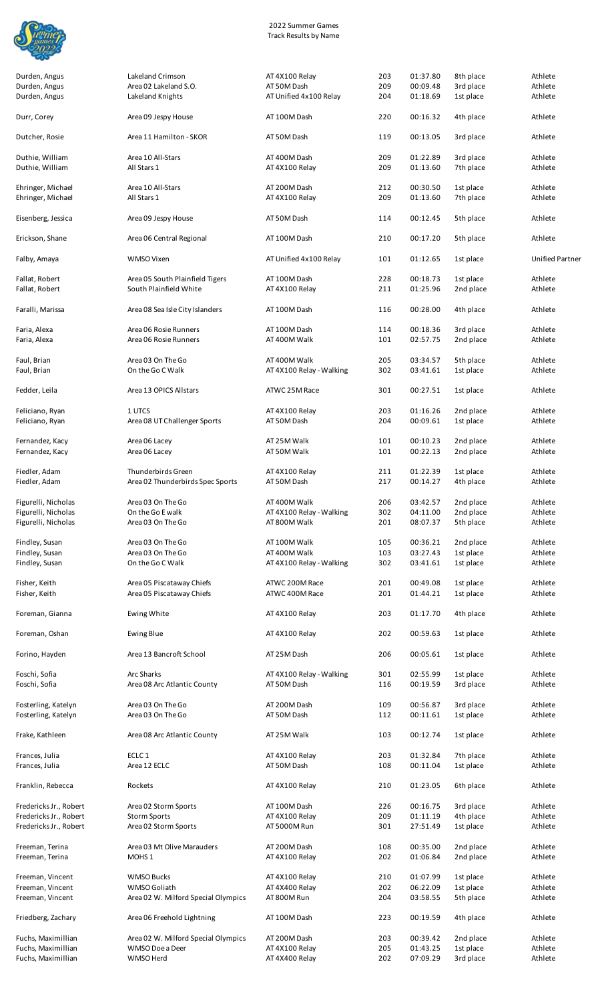

| Durden, Angus                              | Lakeland Crimson                                          | AT 4X100 Relay                           | 203        | 01:37.80             | 8th place              | Athlete                |
|--------------------------------------------|-----------------------------------------------------------|------------------------------------------|------------|----------------------|------------------------|------------------------|
| Durden, Angus                              | Area 02 Lakeland S.O.                                     | AT 50M Dash                              | 209        | 00:09.48             | 3rd place              | Athlete                |
| Durden, Angus                              | Lakeland Knights                                          | AT Unified 4x100 Relay                   | 204        | 01:18.69             | 1st place              | Athlete                |
| Durr, Corey                                | Area 09 Jespy House                                       | AT 100M Dash                             | 220        | 00:16.32             | 4th place              | Athlete                |
| Dutcher, Rosie                             | Area 11 Hamilton - SKOR                                   | AT 50M Dash                              | 119        | 00:13.05             | 3rd place              | Athlete                |
| Duthie, William                            | Area 10 All-Stars                                         | AT 400M Dash                             | 209        | 01:22.89             | 3rd place              | Athlete                |
| Duthie, William                            | All Stars 1                                               | AT 4X100 Relay                           | 209        | 01:13.60             | 7th place              | Athlete                |
| Ehringer, Michael<br>Ehringer, Michael     | Area 10 All-Stars<br>All Stars 1                          | AT 200M Dash<br>AT 4X100 Relay           | 212<br>209 | 00:30.50<br>01:13.60 | 1st place<br>7th place | Athlete<br>Athlete     |
| Eisenberg, Jessica                         | Area 09 Jespy House                                       | AT 50M Dash                              | 114        | 00:12.45             | 5th place              | Athlete                |
|                                            |                                                           |                                          |            |                      |                        |                        |
| Erickson, Shane                            | Area 06 Central Regional                                  | AT 100M Dash                             | 210        | 00:17.20             | 5th place              | Athlete                |
| Falby, Amaya                               | WMSO Vixen                                                | AT Unified 4x100 Relay                   | 101        | 01:12.65             | 1st place              | <b>Unified Partner</b> |
| Fallat, Robert<br>Fallat, Robert           | Area 05 South Plainfield Tigers<br>South Plainfield White | AT 100M Dash<br>AT 4X100 Relay           | 228<br>211 | 00:18.73<br>01:25.96 | 1st place<br>2nd place | Athlete<br>Athlete     |
| Faralli, Marissa                           | Area 08 Sea Isle City Islanders                           | AT 100M Dash                             | 116        | 00:28.00             | 4th place              | Athlete                |
| Faria, Alexa                               | Area 06 Rosie Runners                                     | AT 100M Dash                             | 114        | 00:18.36             | 3rd place              | Athlete                |
| Faria, Alexa                               | Area 06 Rosie Runners                                     | AT 400M Walk                             | 101        | 02:57.75             | 2nd place              | Athlete                |
| Faul, Brian                                | Area 03 On The Go                                         | AT 400M Walk                             | 205        | 03:34.57             | 5th place              | Athlete                |
| Faul, Brian                                | On the Go C Walk                                          | AT 4X100 Relay - Walking                 | 302        | 03:41.61             | 1st place              | Athlete                |
| Fedder, Leila                              | Area 13 OPICS Allstars                                    | ATWC 25M Race                            | 301        | 00:27.51             | 1st place              | Athlete                |
| Feliciano, Ryan<br>Feliciano, Ryan         | 1 UTCS<br>Area 08 UT Challenger Sports                    | AT 4X100 Relay<br>AT 50M Dash            | 203<br>204 | 01:16.26<br>00:09.61 | 2nd place<br>1st place | Athlete<br>Athlete     |
| Fernandez, Kacy                            | Area 06 Lacey                                             | AT 25M Walk                              | 101        | 00:10.23             | 2nd place              | Athlete                |
| Fernandez, Kacy                            | Area 06 Lacey                                             | AT 50M Walk                              | 101        | 00:22.13             | 2nd place              | Athlete                |
|                                            |                                                           |                                          |            |                      |                        |                        |
| Fiedler, Adam<br>Fiedler, Adam             | Thunderbirds Green<br>Area 02 Thunderbirds Spec Sports    | AT 4X100 Relay<br>AT 50M Dash            | 211<br>217 | 01:22.39<br>00:14.27 | 1st place<br>4th place | Athlete<br>Athlete     |
|                                            |                                                           |                                          |            |                      |                        | Athlete                |
| Figurelli, Nicholas<br>Figurelli, Nicholas | Area 03 On The Go<br>On the Go E walk                     | AT 400M Walk<br>AT 4X100 Relay - Walking | 206<br>302 | 03:42.57<br>04:11.00 | 2nd place<br>2nd place | Athlete                |
| Figurelli, Nicholas                        | Area 03 On The Go                                         | AT 800M Walk                             | 201        | 08:07.37             | 5th place              | Athlete                |
| Findley, Susan                             | Area 03 On The Go                                         | AT 100M Walk                             | 105        | 00:36.21             | 2nd place              | Athlete                |
| Findley, Susan                             | Area 03 On The Go                                         | AT 400M Walk                             | 103        | 03:27.43             | 1st place              | Athlete                |
| Findley, Susan                             | On the Go C Walk                                          | AT 4X100 Relay - Walking                 | 302        | 03:41.61             | 1st place              | Athlete                |
| Fisher, Keith                              | Area 05 Piscataway Chiefs                                 | ATWC 200M Race                           | 201        | 00:49.08             | 1st place              | Athlete                |
| Fisher, Keith                              | Area 05 Piscataway Chiefs                                 | ATWC 400M Race                           | 201        | 01:44.21             | 1st place              | Athlete                |
| Foreman, Gianna                            | Ewing White                                               | AT 4X100 Relay                           | 203        | 01:17.70             | 4th place              | Athlete                |
| Foreman, Oshan                             | Ewing Blue                                                | AT 4X100 Relay                           | 202        | 00:59.63             | 1st place              | Athlete                |
| Forino, Hayden                             | Area 13 Bancroft School                                   | AT 25M Dash                              | 206        | 00:05.61             | 1st place              | Athlete                |
| Foschi, Sofia                              | Arc Sharks                                                | AT 4X100 Relay - Walking                 | 301        | 02:55.99             | 1st place              | Athlete                |
| Foschi, Sofia                              | Area 08 Arc Atlantic County                               | AT 50M Dash                              | 116        | 00:19.59             | 3rd place              | Athlete                |
| Fosterling, Katelyn                        | Area 03 On The Go                                         | AT 200M Dash                             | 109        | 00:56.87             | 3rd place              | Athlete                |
| Fosterling, Katelyn                        | Area 03 On The Go                                         | AT 50M Dash                              | 112        | 00:11.61             | 1st place              | Athlete                |
| Frake, Kathleen                            | Area 08 Arc Atlantic County                               | AT 25M Walk                              | 103        | 00:12.74             | 1st place              | Athlete                |
| Frances, Julia                             | ECLC <sub>1</sub>                                         | AT 4X100 Relay                           | 203        | 01:32.84             | 7th place              | Athlete                |
| Frances, Julia                             | Area 12 ECLC                                              | AT 50M Dash                              | 108        | 00:11.04             | 1st place              | Athlete                |
| Franklin, Rebecca                          | Rockets                                                   | AT 4X100 Relay                           | 210        | 01:23.05             | 6th place              | Athlete                |
| Fredericks Jr., Robert                     | Area 02 Storm Sports                                      | AT 100M Dash                             | 226        | 00:16.75             | 3rd place              | Athlete                |
| Fredericks Jr., Robert                     | <b>Storm Sports</b>                                       | AT 4X100 Relay                           | 209        | 01:11.19             | 4th place              | Athlete                |
| Fredericks Jr., Robert                     | Area 02 Storm Sports                                      | AT 5000M Run                             | 301        | 27:51.49             | 1st place              | Athlete                |
| Freeman, Terina                            | Area 03 Mt Olive Marauders                                | AT 200M Dash                             | 108        | 00:35.00             | 2nd place              | Athlete                |
| Freeman, Terina                            | MOHS <sub>1</sub>                                         | AT 4X100 Relay                           | 202        | 01:06.84             | 2nd place              | Athlete                |
| Freeman, Vincent                           | <b>WMSO Bucks</b>                                         | AT 4X100 Relay                           | 210        | 01:07.99             | 1st place              | Athlete                |
| Freeman, Vincent                           | WMSO Goliath                                              | AT 4X400 Relay                           | 202        | 06:22.09             | 1st place              | Athlete                |
| Freeman, Vincent                           | Area 02 W. Milford Special Olympics                       | AT 800M Run                              | 204        | 03:58.55             | 5th place              | Athlete                |
| Friedberg, Zachary                         | Area 06 Freehold Lightning                                | AT 100M Dash                             | 223        | 00:19.59             | 4th place              | Athlete                |
| Fuchs, Maximillian                         | Area 02 W. Milford Special Olympics                       | AT 200M Dash                             | 203        | 00:39.42             | 2nd place              | Athlete                |
| Fuchs, Maximillian                         | WMSO Doe a Deer                                           | AT 4X100 Relay                           | 205        | 01:43.25             | 1st place              | Athlete                |
| Fuchs, Maximillian                         | WMSO Herd                                                 | AT 4X400 Relay                           | 202        | 07:09.29             | 3rd place              | Athlete                |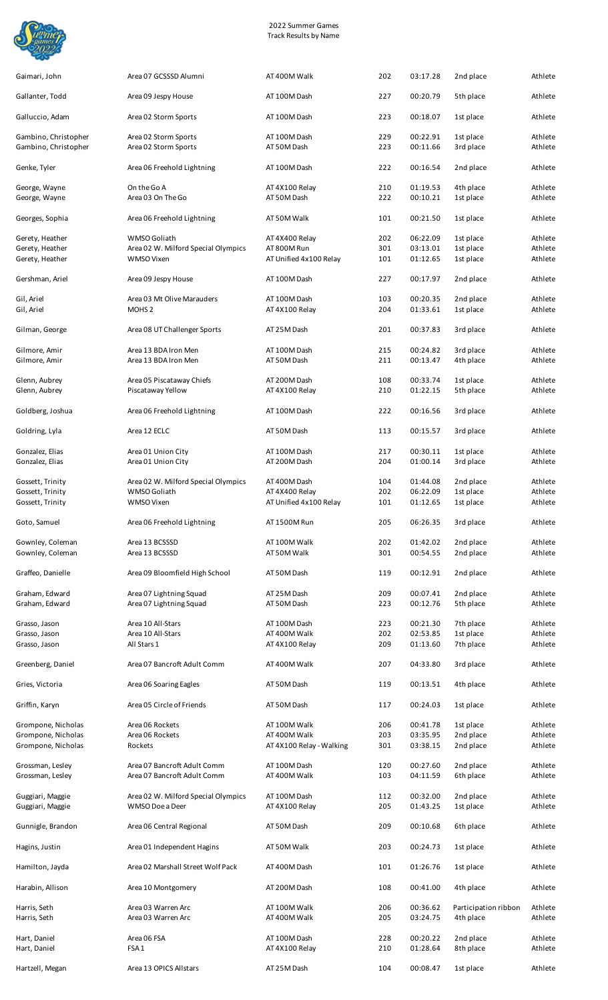

| Gaimari, John                                | Area 07 GCSSSD Alumni                                      | AT 400M Walk                             | 202        | 03:17.28             | 2nd place                         | Athlete            |
|----------------------------------------------|------------------------------------------------------------|------------------------------------------|------------|----------------------|-----------------------------------|--------------------|
| Gallanter, Todd                              | Area 09 Jespy House                                        | AT 100M Dash                             | 227        | 00:20.79             | 5th place                         | Athlete            |
| Galluccio, Adam                              | Area 02 Storm Sports                                       | AT 100M Dash                             | 223        | 00:18.07             | 1st place                         | Athlete            |
| Gambino, Christopher<br>Gambino, Christopher | Area 02 Storm Sports<br>Area 02 Storm Sports               | AT 100M Dash<br>AT 50M Dash              | 229<br>223 | 00:22.91<br>00:11.66 | 1st place<br>3rd place            | Athlete<br>Athlete |
| Genke, Tyler                                 | Area 06 Freehold Lightning                                 | AT 100M Dash                             | 222        | 00:16.54             | 2nd place                         | Athlete            |
| George, Wayne<br>George, Wayne               | On the Go A<br>Area 03 On The Go                           | AT 4X100 Relay<br>AT 50M Dash            | 210<br>222 | 01:19.53<br>00:10.21 | 4th place<br>1st place            | Athlete<br>Athlete |
| Georges, Sophia                              | Area 06 Freehold Lightning                                 | AT 50M Walk                              | 101        | 00:21.50             | 1st place                         | Athlete            |
| Gerety, Heather                              | WMSO Goliath                                               | AT 4X400 Relay                           | 202        | 06:22.09             | 1st place                         | Athlete            |
| Gerety, Heather<br>Gerety, Heather           | Area 02 W. Milford Special Olympics<br>WMSO Vixen          | AT 800M Run<br>AT Unified 4x100 Relay    | 301<br>101 | 03:13.01<br>01:12.65 | 1st place<br>1st place            | Athlete<br>Athlete |
|                                              |                                                            |                                          |            |                      |                                   |                    |
| Gershman, Ariel                              | Area 09 Jespy House                                        | AT 100M Dash                             | 227        | 00:17.97             | 2nd place                         | Athlete            |
| Gil, Ariel<br>Gil, Ariel                     | Area 03 Mt Olive Marauders<br>MOHS <sub>2</sub>            | AT 100M Dash<br>AT 4X100 Relay           | 103<br>204 | 00:20.35<br>01:33.61 | 2nd place<br>1st place            | Athlete<br>Athlete |
| Gilman, George                               | Area 08 UT Challenger Sports                               | AT 25M Dash                              | 201        | 00:37.83             | 3rd place                         | Athlete            |
| Gilmore, Amir<br>Gilmore, Amir               | Area 13 BDA Iron Men<br>Area 13 BDA Iron Men               | AT 100M Dash<br>AT 50M Dash              | 215<br>211 | 00:24.82<br>00:13.47 | 3rd place<br>4th place            | Athlete<br>Athlete |
| Glenn, Aubrey<br>Glenn, Aubrey               | Area 05 Piscataway Chiefs<br>Piscataway Yellow             | AT 200M Dash<br>AT 4X100 Relay           | 108<br>210 | 00:33.74<br>01:22.15 | 1st place<br>5th place            | Athlete<br>Athlete |
| Goldberg, Joshua                             | Area 06 Freehold Lightning                                 | AT 100M Dash                             | 222        | 00:16.56             | 3rd place                         | Athlete            |
| Goldring, Lyla                               | Area 12 ECLC                                               | AT 50M Dash                              | 113        | 00:15.57             | 3rd place                         | Athlete            |
|                                              |                                                            |                                          |            |                      |                                   |                    |
| Gonzalez, Elias<br>Gonzalez, Elias           | Area 01 Union City<br>Area 01 Union City                   | AT 100M Dash<br>AT 200M Dash             | 217<br>204 | 00:30.11<br>01:00.14 | 1st place<br>3rd place            | Athlete<br>Athlete |
| Gossett, Trinity                             | Area 02 W. Milford Special Olympics                        | AT 400M Dash                             | 104        | 01:44.08             | 2nd place                         | Athlete            |
| Gossett, Trinity                             | WMSO Goliath                                               | AT 4X400 Relay                           | 202        | 06:22.09             | 1st place                         | Athlete            |
| Gossett, Trinity                             | WMSO Vixen                                                 | AT Unified 4x100 Relay                   | 101        | 01:12.65             | 1st place                         | Athlete            |
| Goto, Samuel                                 | Area 06 Freehold Lightning                                 | AT 1500M Run                             | 205        | 06:26.35             | 3rd place                         | Athlete            |
| Gownley, Coleman<br>Gownley, Coleman         | Area 13 BCSSSD<br>Area 13 BCSSSD                           | AT 100M Walk<br>AT 50M Walk              | 202<br>301 | 01:42.02<br>00:54.55 | 2nd place<br>2nd place            | Athlete<br>Athlete |
| Graffeo, Danielle                            | Area 09 Bloomfield High School                             | AT 50M Dash                              | 119        | 00:12.91             | 2nd place                         | Athlete            |
| Graham, Edward<br>Graham, Edward             | Area 07 Lightning Squad<br>Area 07 Lightning Squad         | AT 25M Dash<br>AT 50M Dash               | 209<br>223 | 00:07.41<br>00:12.76 | 2nd place<br>5th place            | Athlete<br>Athlete |
| Grasso, Jason                                | Area 10 All-Stars                                          | AT 100M Dash                             | 223        | 00:21.30             | 7th place                         | Athlete            |
| Grasso, Jason                                | Area 10 All-Stars                                          | AT 400M Walk                             | 202        | 02:53.85             | 1st place                         | Athlete            |
| Grasso, Jason                                | All Stars 1                                                | AT 4X100 Relay                           | 209        | 01:13.60             | 7th place                         | Athlete            |
| Greenberg, Daniel                            | Area 07 Bancroft Adult Comm                                | AT 400M Walk                             | 207        | 04:33.80             | 3rd place                         | Athlete            |
| Gries, Victoria                              | Area 06 Soaring Eagles                                     | AT 50M Dash                              | 119        | 00:13.51             | 4th place                         | Athlete            |
| Griffin, Karyn                               | Area 05 Circle of Friends                                  | AT 50M Dash                              | 117        | 00:24.03             | 1st place                         | Athlete            |
| Grompone, Nicholas                           | Area 06 Rockets                                            | AT 100M Walk                             | 206        | 00:41.78             | 1st place                         | Athlete            |
| Grompone, Nicholas<br>Grompone, Nicholas     | Area 06 Rockets<br>Rockets                                 | AT 400M Walk<br>AT 4X100 Relay - Walking | 203<br>301 | 03:35.95<br>03:38.15 | 2nd place<br>2nd place            | Athlete<br>Athlete |
| Grossman, Lesley<br>Grossman, Lesley         | Area 07 Bancroft Adult Comm<br>Area 07 Bancroft Adult Comm | AT 100M Dash<br>AT 400M Walk             | 120<br>103 | 00:27.60<br>04:11.59 | 2nd place<br>6th place            | Athlete<br>Athlete |
| Guggiari, Maggie<br>Guggiari, Maggie         | Area 02 W. Milford Special Olympics<br>WMSO Doe a Deer     | AT 100M Dash<br>AT 4X100 Relay           | 112<br>205 | 00:32.00<br>01:43.25 | 2nd place<br>1st place            | Athlete<br>Athlete |
| Gunnigle, Brandon                            | Area 06 Central Regional                                   | AT 50M Dash                              | 209        | 00:10.68             | 6th place                         | Athlete            |
| Hagins, Justin                               | Area 01 Independent Hagins                                 | AT 50M Walk                              | 203        | 00:24.73             | 1st place                         | Athlete            |
| Hamilton, Jayda                              | Area 02 Marshall Street Wolf Pack                          | AT 400M Dash                             | 101        | 01:26.76             | 1st place                         | Athlete            |
| Harabin, Allison                             | Area 10 Montgomery                                         | AT 200M Dash                             | 108        | 00:41.00             | 4th place                         | Athlete            |
| Harris, Seth<br>Harris, Seth                 | Area 03 Warren Arc<br>Area 03 Warren Arc                   | AT 100M Walk<br>AT 400M Walk             | 206<br>205 | 00:36.62<br>03:24.75 | Participation ribbon<br>4th place | Athlete<br>Athlete |
| Hart, Daniel<br>Hart, Daniel                 | Area 06 FSA<br>FSA <sub>1</sub>                            | AT 100M Dash<br>AT 4X100 Relay           | 228<br>210 | 00:20.22<br>01:28.64 | 2nd place<br>8th place            | Athlete<br>Athlete |
| Hartzell, Megan                              | Area 13 OPICS Allstars                                     | AT 25M Dash                              | 104        | 00:08.47             | 1st place                         | Athlete            |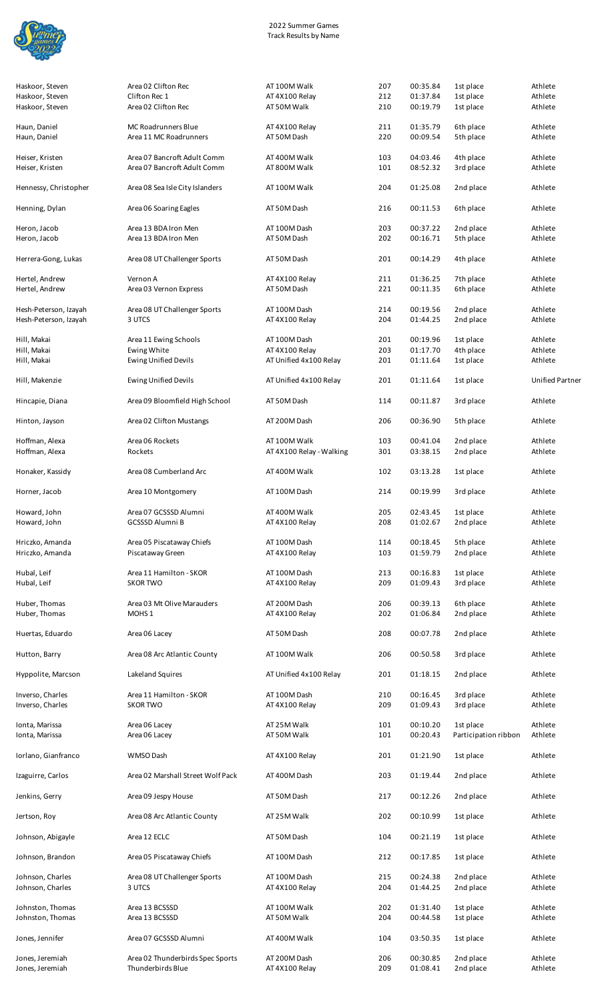

| Haskoor, Steven                    | Area 02 Clifton Rec                           | AT 100M Walk                   | 207        | 00:35.84             | 1st place              | Athlete            |
|------------------------------------|-----------------------------------------------|--------------------------------|------------|----------------------|------------------------|--------------------|
| Haskoor, Steven                    | Clifton Rec 1                                 | AT 4X100 Relay                 | 212        | 01:37.84             | 1st place              | Athlete            |
| Haskoor, Steven                    | Area 02 Clifton Rec                           | AT 50M Walk                    | 210        | 00:19.79             | 1st place              | Athlete            |
|                                    |                                               |                                |            |                      |                        |                    |
| Haun, Daniel<br>Haun, Daniel       | MC Roadrunners Blue<br>Area 11 MC Roadrunners | AT 4X100 Relay<br>AT 50M Dash  | 211<br>220 | 01:35.79<br>00:09.54 | 6th place<br>5th place | Athlete<br>Athlete |
|                                    |                                               |                                |            |                      |                        |                    |
| Heiser, Kristen                    | Area 07 Bancroft Adult Comm                   | AT 400M Walk                   | 103        | 04:03.46             | 4th place              | Athlete            |
| Heiser, Kristen                    | Area 07 Bancroft Adult Comm                   | AT 800M Walk                   | 101        | 08:52.32             | 3rd place              | Athlete            |
|                                    |                                               |                                |            |                      |                        |                    |
| Hennessy, Christopher              | Area 08 Sea Isle City Islanders               | AT 100M Walk                   | 204        | 01:25.08             | 2nd place              | Athlete            |
|                                    |                                               |                                |            |                      |                        | Athlete            |
| Henning, Dylan                     | Area 06 Soaring Eagles                        | AT 50M Dash                    | 216        | 00:11.53             | 6th place              |                    |
| Heron, Jacob                       | Area 13 BDA Iron Men                          | AT 100M Dash                   | 203        | 00:37.22             | 2nd place              | Athlete            |
| Heron, Jacob                       | Area 13 BDA Iron Men                          | AT 50M Dash                    | 202        | 00:16.71             | 5th place              | Athlete            |
|                                    |                                               |                                |            |                      |                        |                    |
| Herrera-Gong, Lukas                | Area 08 UT Challenger Sports                  | AT 50M Dash                    | 201        | 00:14.29             | 4th place              | Athlete            |
|                                    |                                               |                                |            |                      |                        |                    |
| Hertel, Andrew<br>Hertel, Andrew   | Vernon A<br>Area 03 Vernon Express            | AT 4X100 Relay<br>AT 50M Dash  | 211<br>221 | 01:36.25<br>00:11.35 | 7th place<br>6th place | Athlete<br>Athlete |
|                                    |                                               |                                |            |                      |                        |                    |
| Hesh-Peterson, Izayah              | Area 08 UT Challenger Sports                  | AT 100M Dash                   | 214        | 00:19.56             | 2nd place              | Athlete            |
| Hesh-Peterson, Izayah              | 3 UTCS                                        | AT 4X100 Relay                 | 204        | 01:44.25             | 2nd place              | Athlete            |
|                                    |                                               |                                |            |                      |                        |                    |
| Hill, Makai                        | Area 11 Ewing Schools                         | AT 100M Dash                   | 201        | 00:19.96             | 1st place              | Athlete            |
| Hill, Makai                        | Ewing White                                   | AT 4X100 Relay                 | 203        | 01:17.70             | 4th place              | Athlete            |
| Hill, Makai                        | <b>Ewing Unified Devils</b>                   | AT Unified 4x100 Relay         | 201        | 01:11.64             | 1st place              | Athlete            |
| Hill, Makenzie                     | <b>Ewing Unified Devils</b>                   | AT Unified 4x100 Relay         | 201        | 01:11.64             | 1st place              | Unified Partner    |
|                                    |                                               |                                |            |                      |                        |                    |
| Hincapie, Diana                    | Area 09 Bloomfield High School                | AT 50M Dash                    | 114        | 00:11.87             | 3rd place              | Athlete            |
|                                    |                                               |                                |            |                      |                        |                    |
| Hinton, Jayson                     | Area 02 Clifton Mustangs                      | AT 200M Dash                   | 206        | 00:36.90             | 5th place              | Athlete            |
|                                    |                                               |                                |            |                      |                        |                    |
| Hoffman, Alexa                     | Area 06 Rockets                               | AT 100M Walk                   | 103        | 00:41.04             | 2nd place              | Athlete            |
| Hoffman, Alexa                     | Rockets                                       | AT 4X100 Relay - Walking       | 301        | 03:38.15             | 2nd place              | Athlete            |
| Honaker, Kassidy                   | Area 08 Cumberland Arc                        | AT 400M Walk                   | 102        | 03:13.28             | 1st place              | Athlete            |
|                                    |                                               |                                |            |                      |                        |                    |
| Horner, Jacob                      | Area 10 Montgomery                            | AT 100M Dash                   | 214        | 00:19.99             | 3rd place              | Athlete            |
|                                    |                                               |                                |            |                      |                        |                    |
| Howard, John                       | Area 07 GCSSSD Alumni                         | AT 400M Walk                   | 205        | 02:43.45             | 1st place              | Athlete            |
| Howard, John                       | <b>GCSSSD Alumni B</b>                        | AT 4X100 Relay                 | 208        | 01:02.67             | 2nd place              | Athlete            |
|                                    |                                               |                                |            |                      |                        |                    |
| Hriczko, Amanda<br>Hriczko, Amanda | Area 05 Piscataway Chiefs<br>Piscataway Green | AT 100M Dash<br>AT 4X100 Relay | 114<br>103 | 00:18.45<br>01:59.79 | 5th place<br>2nd place | Athlete<br>Athlete |
|                                    |                                               |                                |            |                      |                        |                    |
| Hubal, Leif                        | Area 11 Hamilton - SKOR                       | AT 100M Dash                   | 213        | 00:16.83             | 1st place              | Athlete            |
| Hubal, Leif                        | <b>SKOR TWO</b>                               | AT 4X100 Relay                 | 209        | 01:09.43             | 3rd place              | Athlete            |
|                                    |                                               |                                |            |                      |                        |                    |
| Huber, Thomas                      | Area 03 Mt Olive Marauders                    | AT 200M Dash                   | 206        | 00:39.13             | 6th place              | Athlete            |
| Huber, Thomas                      | MOHS <sub>1</sub>                             | AT 4X100 Relay                 | 202        | 01:06.84             | 2nd place              | Athlete            |
|                                    |                                               |                                |            |                      |                        |                    |
| Huertas, Eduardo                   | Area 06 Lacey                                 | AT 50M Dash                    | 208        | 00:07.78             | 2nd place              | Athlete            |
| Hutton, Barry                      | Area 08 Arc Atlantic County                   | AT 100M Walk                   | 206        | 00:50.58             | 3rd place              | Athlete            |
|                                    |                                               |                                |            |                      |                        |                    |
| Hyppolite, Marcson                 | Lakeland Squires                              | AT Unified 4x100 Relay         | 201        | 01:18.15             | 2nd place              | Athlete            |
|                                    |                                               |                                |            |                      |                        |                    |
| Inverso, Charles                   | Area 11 Hamilton - SKOR                       | AT 100M Dash                   | 210        | 00:16.45             | 3rd place              | Athlete            |
| Inverso, Charles                   | <b>SKOR TWO</b>                               | AT 4X100 Relay                 | 209        | 01:09.43             | 3rd place              | Athlete            |
|                                    |                                               |                                |            |                      |                        |                    |
| Ionta, Marissa                     | Area 06 Lacey                                 | AT 25M Walk                    | 101        | 00:10.20             | 1st place              | Athlete            |
| Ionta, Marissa                     | Area 06 Lacey                                 | AT 50M Walk                    | 101        | 00:20.43             | Participation ribbon   | Athlete            |
| Iorlano, Gianfranco                | WMSO Dash                                     | AT 4X100 Relay                 | 201        | 01:21.90             | 1st place              | Athlete            |
|                                    |                                               |                                |            |                      |                        |                    |
| Izaguirre, Carlos                  | Area 02 Marshall Street Wolf Pack             | AT 400M Dash                   | 203        | 01:19.44             | 2nd place              | Athlete            |
|                                    |                                               |                                |            |                      |                        |                    |
| Jenkins, Gerry                     | Area 09 Jespy House                           | AT 50M Dash                    | 217        | 00:12.26             | 2nd place              | Athlete            |
|                                    |                                               |                                |            |                      |                        |                    |
| Jertson, Roy                       | Area 08 Arc Atlantic County                   | AT 25M Walk                    | 202        | 00:10.99             | 1st place              | Athlete            |
| Johnson, Abigayle                  | Area 12 ECLC                                  | AT 50M Dash                    | 104        | 00:21.19             | 1st place              | Athlete            |
|                                    |                                               |                                |            |                      |                        |                    |
| Johnson, Brandon                   | Area 05 Piscataway Chiefs                     | AT 100M Dash                   | 212        | 00:17.85             | 1st place              | Athlete            |
|                                    |                                               |                                |            |                      |                        |                    |
| Johnson, Charles                   | Area 08 UT Challenger Sports                  | AT 100M Dash                   | 215        | 00:24.38             | 2nd place              | Athlete            |
| Johnson, Charles                   | 3 UTCS                                        | AT 4X100 Relay                 | 204        | 01:44.25             | 2nd place              | Athlete            |
|                                    |                                               |                                |            |                      |                        |                    |
| Johnston, Thomas                   | Area 13 BCSSSD                                | AT 100M Walk                   | 202        | 01:31.40<br>00:44.58 | 1st place              | Athlete            |
| Johnston, Thomas                   | Area 13 BCSSSD                                | AT 50M Walk                    | 204        |                      | 1st place              | Athlete            |
| Jones, Jennifer                    | Area 07 GCSSSD Alumni                         | AT 400M Walk                   | 104        | 03:50.35             | 1st place              | Athlete            |
|                                    |                                               |                                |            |                      |                        |                    |
| Jones, Jeremiah                    | Area 02 Thunderbirds Spec Sports              | AT 200M Dash                   | 206        | 00:30.85             | 2nd place              | Athlete            |
| Jones, Jeremiah                    | Thunderbirds Blue                             |                                | 209        | 01:08.41             |                        |                    |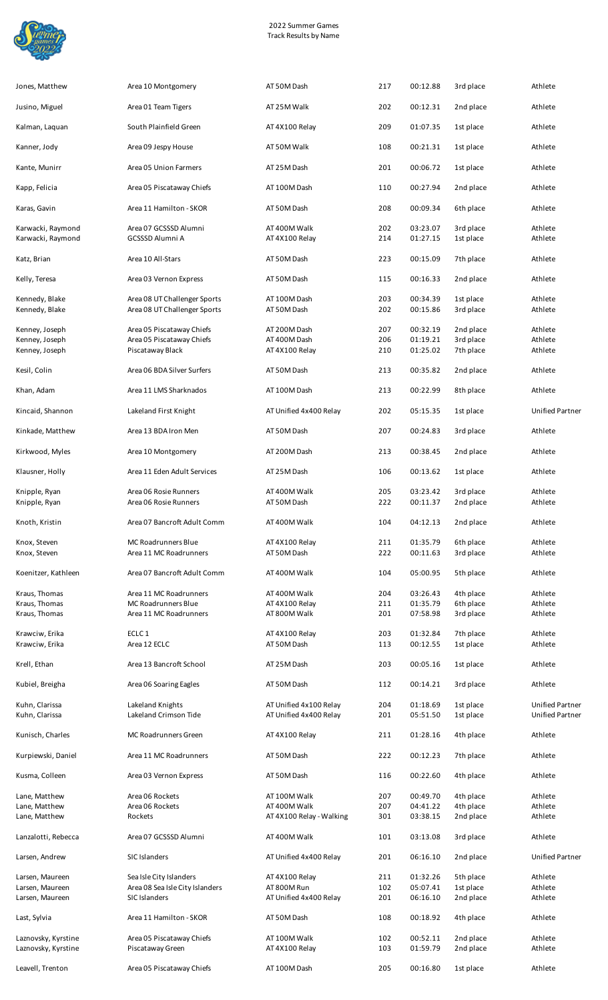

| Jones, Matthew                         | Area 10 Montgomery                                           | AT 50M Dash                                      | 217        | 00:12.88             | 3rd place              | Athlete                                          |
|----------------------------------------|--------------------------------------------------------------|--------------------------------------------------|------------|----------------------|------------------------|--------------------------------------------------|
| Jusino, Miguel                         | Area 01 Team Tigers                                          | AT 25M Walk                                      | 202        | 00:12.31             | 2nd place              | Athlete                                          |
| Kalman, Laquan                         | South Plainfield Green                                       | AT 4X100 Relay                                   | 209        | 01:07.35             | 1st place              | Athlete                                          |
| Kanner, Jody                           | Area 09 Jespy House                                          | AT 50M Walk                                      | 108        | 00:21.31             | 1st place              | Athlete                                          |
| Kante, Munirr                          | Area 05 Union Farmers                                        | AT 25M Dash                                      | 201        | 00:06.72             | 1st place              | Athlete                                          |
| Kapp, Felicia                          | Area 05 Piscataway Chiefs                                    | AT 100M Dash                                     | 110        | 00:27.94             | 2nd place              | Athlete                                          |
| Karas, Gavin                           | Area 11 Hamilton - SKOR                                      | AT 50M Dash                                      | 208        | 00:09.34             | 6th place              | Athlete                                          |
|                                        |                                                              |                                                  |            |                      |                        |                                                  |
| Karwacki, Raymond<br>Karwacki, Raymond | Area 07 GCSSSD Alumni<br><b>GCSSSD Alumni A</b>              | AT 400M Walk<br>AT 4X100 Relay                   | 202<br>214 | 03:23.07<br>01:27.15 | 3rd place<br>1st place | Athlete<br>Athlete                               |
| Katz, Brian                            | Area 10 All-Stars                                            | AT 50M Dash                                      | 223        | 00:15.09             | 7th place              | Athlete                                          |
| Kelly, Teresa                          | Area 03 Vernon Express                                       | AT 50M Dash                                      | 115        | 00:16.33             | 2nd place              | Athlete                                          |
| Kennedy, Blake<br>Kennedy, Blake       | Area 08 UT Challenger Sports<br>Area 08 UT Challenger Sports | AT 100M Dash<br>AT 50M Dash                      | 203<br>202 | 00:34.39<br>00:15.86 | 1st place<br>3rd place | Athlete<br>Athlete                               |
| Kenney, Joseph                         | Area 05 Piscataway Chiefs                                    | AT 200M Dash                                     | 207        | 00:32.19             | 2nd place              | Athlete                                          |
| Kenney, Joseph<br>Kenney, Joseph       | Area 05 Piscataway Chiefs<br>Piscataway Black                | AT 400M Dash<br>AT 4X100 Relay                   | 206<br>210 | 01:19.21<br>01:25.02 | 3rd place<br>7th place | Athlete<br>Athlete                               |
| Kesil, Colin                           | Area 06 BDA Silver Surfers                                   | AT 50M Dash                                      | 213        | 00:35.82             | 2nd place              | Athlete                                          |
| Khan, Adam                             | Area 11 LMS Sharknados                                       | AT 100M Dash                                     | 213        | 00:22.99             | 8th place              | Athlete                                          |
| Kincaid, Shannon                       | Lakeland First Knight                                        | AT Unified 4x400 Relay                           | 202        | 05:15.35             | 1st place              | <b>Unified Partner</b>                           |
| Kinkade, Matthew                       | Area 13 BDA Iron Men                                         | AT 50M Dash                                      | 207        | 00:24.83             | 3rd place              | Athlete                                          |
| Kirkwood, Myles                        | Area 10 Montgomery                                           | AT 200M Dash                                     | 213        | 00:38.45             | 2nd place              | Athlete                                          |
| Klausner, Holly                        | Area 11 Eden Adult Services                                  | AT 25M Dash                                      | 106        | 00:13.62             | 1st place              | Athlete                                          |
| Knipple, Ryan<br>Knipple, Ryan         | Area 06 Rosie Runners<br>Area 06 Rosie Runners               | AT 400M Walk<br>AT 50M Dash                      | 205<br>222 | 03:23.42<br>00:11.37 | 3rd place<br>2nd place | Athlete<br>Athlete                               |
| Knoth, Kristin                         | Area 07 Bancroft Adult Comm                                  | AT 400M Walk                                     | 104        | 04:12.13             | 2nd place              | Athlete                                          |
| Knox, Steven                           | MC Roadrunners Blue                                          | AT 4X100 Relay                                   | 211        | 01:35.79             | 6th place              | Athlete                                          |
| Knox, Steven                           | Area 11 MC Roadrunners                                       | AT 50M Dash                                      | 222        | 00:11.63             | 3rd place              | Athlete                                          |
| Koenitzer, Kathleen                    | Area 07 Bancroft Adult Comm                                  | AT 400M Walk                                     | 104        | 05:00.95             | 5th place              | Athlete                                          |
| Kraus, Thomas<br>Kraus, Thomas         | Area 11 MC Roadrunners<br>MC Roadrunners Blue                | AT 400M Walk<br>AT 4X100 Relay                   | 204<br>211 | 03:26.43<br>01:35.79 | 4th place<br>6th place | Athlete<br>Athlete                               |
| Kraus, Thomas                          | Area 11 MC Roadrunners                                       | AT 800M Walk                                     | 201        | 07:58.98             | 3rd place              | Athlete                                          |
| Krawciw, Erika                         | ECLC <sub>1</sub>                                            | AT 4X100 Relay                                   | 203        | 01:32.84             | 7th place              | Athlete                                          |
| Krawciw, Erika                         | Area 12 ECLC                                                 | AT 50M Dash                                      | 113        | 00:12.55             | 1st place              | Athlete                                          |
| Krell, Ethan                           | Area 13 Bancroft School                                      | AT 25M Dash                                      | 203        | 00:05.16             | 1st place              | Athlete                                          |
| Kubiel, Breigha                        | Area 06 Soaring Eagles                                       | AT 50M Dash                                      | 112        | 00:14.21             | 3rd place              | Athlete                                          |
| Kuhn, Clarissa<br>Kuhn, Clarissa       | Lakeland Knights<br>Lakeland Crimson Tide                    | AT Unified 4x100 Relay<br>AT Unified 4x400 Relay | 204<br>201 | 01:18.69<br>05:51.50 | 1st place<br>1st place | <b>Unified Partner</b><br><b>Unified Partner</b> |
| Kunisch, Charles                       | MC Roadrunners Green                                         | AT 4X100 Relay                                   | 211        | 01:28.16             | 4th place              | Athlete                                          |
| Kurpiewski, Daniel                     | Area 11 MC Roadrunners                                       | AT 50M Dash                                      | 222        | 00:12.23             | 7th place              | Athlete                                          |
| Kusma, Colleen                         | Area 03 Vernon Express                                       | AT 50M Dash                                      | 116        | 00:22.60             | 4th place              | Athlete                                          |
| Lane, Matthew                          | Area 06 Rockets                                              | AT 100M Walk                                     | 207        | 00:49.70             | 4th place              | Athlete                                          |
| Lane, Matthew                          | Area 06 Rockets                                              | AT 400M Walk                                     | 207        | 04:41.22             | 4th place              | Athlete                                          |
| Lane, Matthew                          | Rockets                                                      | AT 4X100 Relay - Walking                         | 301        | 03:38.15             | 2nd place              | Athlete                                          |
| Lanzalotti, Rebecca                    | Area 07 GCSSSD Alumni                                        | AT 400M Walk                                     | 101        | 03:13.08             | 3rd place              | Athlete                                          |
| Larsen, Andrew                         | <b>SIC Islanders</b>                                         | AT Unified 4x400 Relay                           | 201        | 06:16.10             | 2nd place              | <b>Unified Partner</b>                           |
| Larsen, Maureen<br>Larsen, Maureen     | Sea Isle City Islanders<br>Area 08 Sea Isle City Islanders   | AT 4X100 Relay<br>AT 800M Run                    | 211<br>102 | 01:32.26<br>05:07.41 | 5th place<br>1st place | Athlete<br>Athlete                               |
| Larsen, Maureen                        | <b>SIC Islanders</b>                                         | AT Unified 4x400 Relay                           | 201        | 06:16.10             | 2nd place              | Athlete                                          |
| Last, Sylvia                           | Area 11 Hamilton - SKOR                                      | AT 50M Dash                                      | 108        | 00:18.92             | 4th place              | Athlete                                          |
| Laznovsky, Kyrstine                    | Area 05 Piscataway Chiefs                                    | AT 100M Walk                                     | 102        | 00:52.11             | 2nd place              | Athlete                                          |
| Laznovsky, Kyrstine                    | Piscataway Green                                             | AT 4X100 Relay                                   | 103        | 01:59.79             | 2nd place              | Athlete                                          |
| Leavell, Trenton                       | Area 05 Piscataway Chiefs                                    | AT 100M Dash                                     | 205        | 00:16.80             | 1st place              | Athlete                                          |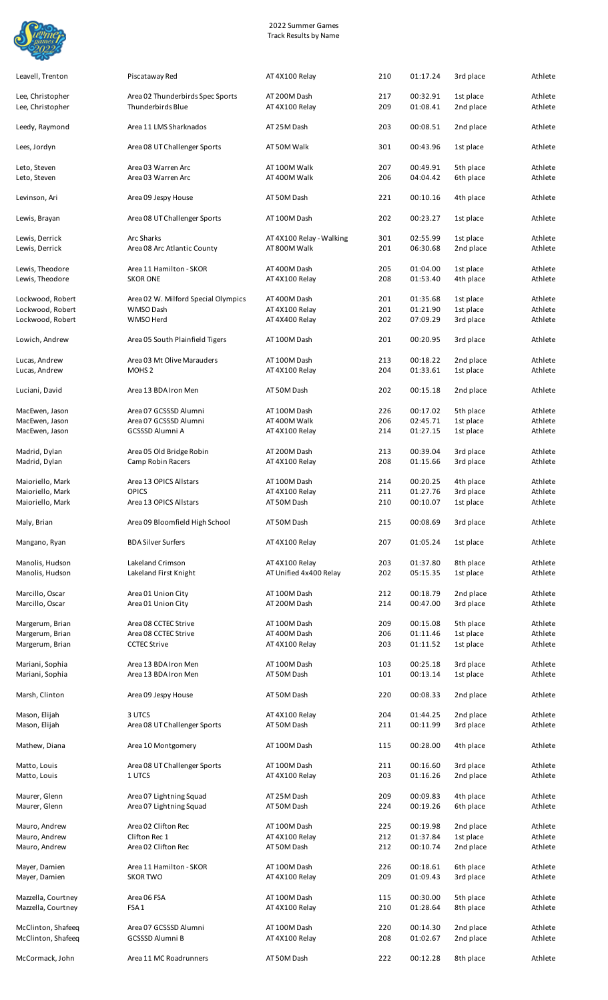

| Leavell, Trenton                 | Piscataway Red                                     | AT 4X100 Relay               | 210        | 01:17.24             | 3rd place              | Athlete            |
|----------------------------------|----------------------------------------------------|------------------------------|------------|----------------------|------------------------|--------------------|
| Lee, Christopher                 | Area 02 Thunderbirds Spec Sports                   | AT 200M Dash                 | 217        | 00:32.91             | 1st place              | Athlete            |
| Lee, Christopher                 | Thunderbirds Blue                                  | AT 4X100 Relay               | 209        | 01:08.41             | 2nd place              | Athlete            |
| Leedy, Raymond                   | Area 11 LMS Sharknados                             | AT 25M Dash                  | 203        | 00:08.51             | 2nd place              | Athlete            |
| Lees, Jordyn                     | Area 08 UT Challenger Sports                       | AT 50M Walk                  | 301        | 00:43.96             | 1st place              | Athlete            |
| Leto, Steven                     | Area 03 Warren Arc                                 | AT 100M Walk                 | 207        | 00:49.91             | 5th place              | Athlete            |
| Leto, Steven                     | Area 03 Warren Arc                                 | AT 400M Walk                 | 206        | 04:04.42             | 6th place              | Athlete            |
| Levinson, Ari                    | Area 09 Jespy House                                | AT 50M Dash                  | 221        | 00:10.16             | 4th place              | Athlete            |
| Lewis, Brayan                    | Area 08 UT Challenger Sports                       | AT 100M Dash                 | 202        | 00:23.27             | 1st place              | Athlete            |
| Lewis, Derrick                   | <b>Arc Sharks</b>                                  | AT 4X100 Relay - Walking     | 301        | 02:55.99             | 1st place              | Athlete            |
| Lewis, Derrick                   | Area 08 Arc Atlantic County                        | AT 800M Walk                 | 201        | 06:30.68             | 2nd place              | Athlete            |
| Lewis, Theodore                  | Area 11 Hamilton - SKOR                            | AT 400M Dash                 | 205        | 01:04.00             | 1st place              | Athlete            |
| Lewis, Theodore                  | <b>SKOR ONE</b>                                    | AT 4X100 Relay               | 208        | 01:53.40             | 4th place              | Athlete            |
| Lockwood, Robert                 | Area 02 W. Milford Special Olympics                | AT 400M Dash                 | 201        | 01:35.68             | 1st place              | Athlete            |
| Lockwood, Robert                 | WMSO Dash                                          | AT 4X100 Relay               | 201        | 01:21.90             | 1st place              | Athlete            |
| Lockwood, Robert                 | WMSO Herd                                          | AT 4X400 Relay               | 202        | 07:09.29             | 3rd place              | Athlete            |
| Lowich, Andrew                   | Area 05 South Plainfield Tigers                    | AT 100M Dash                 | 201        | 00:20.95             | 3rd place              | Athlete            |
| Lucas, Andrew                    | Area 03 Mt Olive Marauders                         | AT 100M Dash                 | 213        | 00:18.22             | 2nd place              | Athlete            |
| Lucas, Andrew                    | MOHS <sub>2</sub>                                  | AT 4X100 Relay               | 204        | 01:33.61             | 1st place              | Athlete            |
| Luciani, David                   | Area 13 BDA Iron Men                               | AT 50M Dash                  | 202        | 00:15.18             | 2nd place              | Athlete            |
|                                  |                                                    |                              |            |                      |                        |                    |
| MacEwen, Jason<br>MacEwen, Jason | Area 07 GCSSSD Alumni<br>Area 07 GCSSSD Alumni     | AT 100M Dash<br>AT 400M Walk | 226<br>206 | 00:17.02<br>02:45.71 | 5th place<br>1st place | Athlete<br>Athlete |
| MacEwen, Jason                   | GCSSSD Alumni A                                    | AT 4X100 Relay               | 214        | 01:27.15             | 1st place              | Athlete            |
|                                  |                                                    |                              |            |                      |                        |                    |
| Madrid, Dylan                    | Area 05 Old Bridge Robin                           | AT 200M Dash                 | 213        | 00:39.04             | 3rd place              | Athlete            |
| Madrid, Dylan                    | Camp Robin Racers                                  | AT 4X100 Relay               | 208        | 01:15.66             | 3rd place              | Athlete            |
| Maioriello, Mark                 | Area 13 OPICS Allstars                             | AT 100M Dash                 | 214        | 00:20.25             | 4th place              | Athlete            |
| Maioriello, Mark                 | <b>OPICS</b>                                       | AT 4X100 Relay               | 211        | 01:27.76             | 3rd place              | Athlete            |
| Maioriello, Mark                 | Area 13 OPICS Allstars                             | AT 50M Dash                  | 210        | 00:10.07             | 1st place              | Athlete            |
| Maly, Brian                      | Area 09 Bloomfield High School                     | AT 50M Dash                  | 215        | 00:08.69             | 3rd place              | Athlete            |
| Mangano, Ryan                    | <b>BDA Silver Surfers</b>                          | AT 4X100 Relay               | 207        | 01:05.24             | 1st place              | Athlete            |
| Manolis, Hudson                  | Lakeland Crimson                                   | AT 4X100 Relay               | 203        | 01:37.80             | 8th place              | Athlete            |
| Manolis, Hudson                  | Lakeland First Knight                              | AT Unified 4x400 Relay       | 202        | 05:15.35             | 1st place              | Athlete            |
| Marcillo, Oscar                  | Area 01 Union City                                 | AT 100M Dash                 | 212        | 00:18.79             | 2nd place              | Athlete            |
| Marcillo, Oscar                  | Area 01 Union City                                 | AT 200M Dash                 | 214        | 00:47.00             | 3rd place              | Athlete            |
| Margerum, Brian                  | Area 08 CCTEC Strive                               | AT 100M Dash                 | 209        | 00:15.08             | 5th place              | Athlete            |
| Margerum, Brian                  | Area 08 CCTEC Strive                               | AT 400M Dash                 | 206        | 01:11.46             | 1st place              | Athlete            |
| Margerum, Brian                  | <b>CCTEC Strive</b>                                | AT 4X100 Relay               | 203        | 01:11.52             | 1st place              | Athlete            |
| Mariani, Sophia                  | Area 13 BDA Iron Men                               | AT 100M Dash                 | 103        | 00:25.18             | 3rd place              | Athlete            |
| Mariani, Sophia                  | Area 13 BDA Iron Men                               | AT 50M Dash                  | 101        | 00:13.14             | 1st place              | Athlete            |
| Marsh, Clinton                   | Area 09 Jespy House                                | AT 50M Dash                  | 220        | 00:08.33             | 2nd place              | Athlete            |
| Mason, Elijah                    | 3 UTCS                                             | AT 4X100 Relay               | 204        | 01:44.25             | 2nd place              | Athlete            |
| Mason, Elijah                    | Area 08 UT Challenger Sports                       | AT 50M Dash                  | 211        | 00:11.99             | 3rd place              | Athlete            |
| Mathew, Diana                    | Area 10 Montgomery                                 | AT 100M Dash                 | 115        | 00:28.00             | 4th place              | Athlete            |
| Matto, Louis                     | Area 08 UT Challenger Sports                       | AT 100M Dash                 | 211        | 00:16.60             | 3rd place              | Athlete            |
| Matto, Louis                     | 1 UTCS                                             | AT 4X100 Relay               | 203        | 01:16.26             | 2nd place              | Athlete            |
|                                  |                                                    |                              |            |                      |                        |                    |
| Maurer, Glenn<br>Maurer, Glenn   | Area 07 Lightning Squad<br>Area 07 Lightning Squad | AT 25M Dash<br>AT 50M Dash   | 209<br>224 | 00:09.83<br>00:19.26 | 4th place<br>6th place | Athlete<br>Athlete |
| Mauro, Andrew                    | Area 02 Clifton Rec                                | AT 100M Dash                 | 225        | 00:19.98             | 2nd place              | Athlete            |
| Mauro, Andrew                    | Clifton Rec 1                                      | AT 4X100 Relay               | 212        | 01:37.84             | 1st place              | Athlete            |
| Mauro, Andrew                    | Area 02 Clifton Rec                                | AT 50M Dash                  | 212        | 00:10.74             | 2nd place              | Athlete            |
| Mayer, Damien                    | Area 11 Hamilton - SKOR                            | AT 100M Dash                 | 226        | 00:18.61             | 6th place              | Athlete            |
| Mayer, Damien                    | <b>SKOR TWO</b>                                    | AT 4X100 Relay               | 209        | 01:09.43             | 3rd place              | Athlete            |
| Mazzella, Courtney               | Area 06 FSA                                        | AT 100M Dash                 | 115        | 00:30.00             | 5th place              | Athlete            |
| Mazzella, Courtney               | FSA <sub>1</sub>                                   | AT 4X100 Relay               | 210        | 01:28.64             | 8th place              | Athlete            |
| McClinton, Shafeeq               | Area 07 GCSSSD Alumni                              | AT 100M Dash                 | 220        | 00:14.30             | 2nd place              | Athlete            |
| McClinton, Shafeeq               | <b>GCSSSD Alumni B</b>                             | AT 4X100 Relay               | 208        | 01:02.67             | 2nd place              | Athlete            |
|                                  |                                                    |                              |            |                      |                        |                    |
| McCormack, John                  | Area 11 MC Roadrunners                             | AT 50M Dash                  | 222        | 00:12.28             | 8th place              | Athlete            |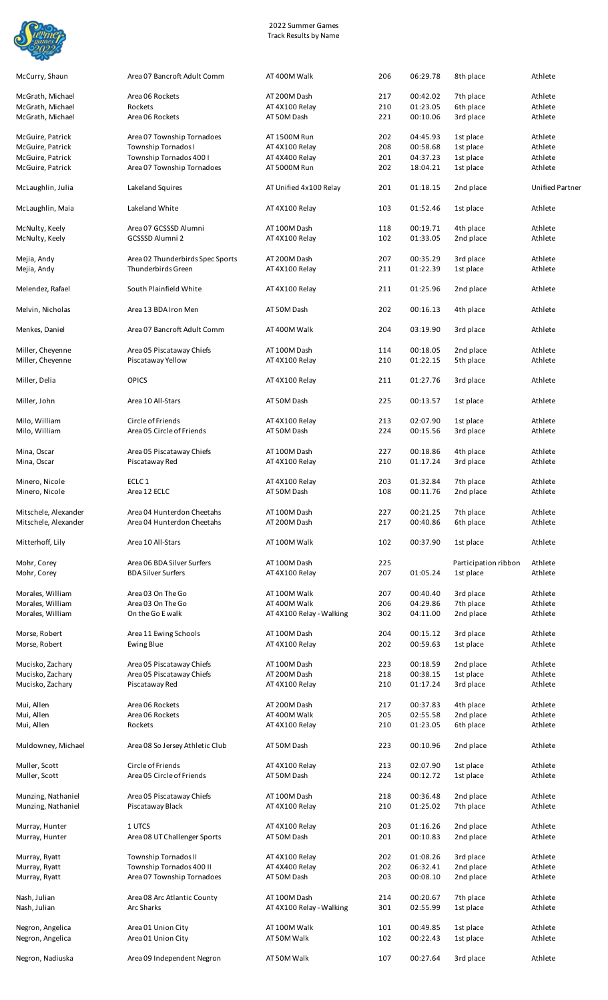

| McCurry, Shaun                       | Area 07 Bancroft Adult Comm                            | AT 400M Walk                             | 206        | 06:29.78             | 8th place              | Athlete                |
|--------------------------------------|--------------------------------------------------------|------------------------------------------|------------|----------------------|------------------------|------------------------|
| McGrath, Michael                     | Area 06 Rockets                                        | AT 200M Dash                             | 217        | 00:42.02             | 7th place              | Athlete                |
| McGrath, Michael                     | Rockets                                                | AT 4X100 Relay                           | 210        | 01:23.05             | 6th place              | Athlete                |
| McGrath, Michael                     | Area 06 Rockets                                        | AT 50M Dash                              | 221        | 00:10.06             | 3rd place              | Athlete                |
| McGuire, Patrick                     | Area 07 Township Tornadoes                             | AT 1500M Run                             | 202        | 04:45.93             | 1st place              | Athlete                |
| McGuire, Patrick                     | Township Tornados I                                    | AT 4X100 Relay                           | 208        | 00:58.68             | 1st place              | Athlete                |
| McGuire, Patrick                     | Township Tornados 400 I                                | AT 4X400 Relay                           | 201        | 04:37.23             | 1st place              | Athlete                |
| McGuire, Patrick                     | Area 07 Township Tornadoes                             | AT 5000M Run                             | 202        | 18:04.21             | 1st place              | Athlete                |
| McLaughlin, Julia                    | Lakeland Squires                                       | AT Unified 4x100 Relay                   | 201        | 01:18.15             | 2nd place              | <b>Unified Partner</b> |
| McLaughlin, Maia                     | Lakeland White                                         | AT 4X100 Relay                           | 103        | 01:52.46             | 1st place              | Athlete                |
| McNulty, Keely<br>McNulty, Keely     | Area 07 GCSSSD Alumni<br>GCSSSD Alumni 2               | AT 100M Dash<br>AT 4X100 Relay           | 118<br>102 | 00:19.71<br>01:33.05 | 4th place<br>2nd place | Athlete<br>Athlete     |
| Mejia, Andy<br>Mejia, Andy           | Area 02 Thunderbirds Spec Sports<br>Thunderbirds Green | AT 200M Dash<br>AT 4X100 Relay           | 207<br>211 | 00:35.29<br>01:22.39 | 3rd place<br>1st place | Athlete<br>Athlete     |
| Melendez, Rafael                     | South Plainfield White                                 | AT 4X100 Relay                           | 211        | 01:25.96             | 2nd place              | Athlete                |
| Melvin, Nicholas                     | Area 13 BDA Iron Men                                   | AT 50M Dash                              | 202        | 00:16.13             | 4th place              | Athlete                |
| Menkes, Daniel                       | Area 07 Bancroft Adult Comm                            | AT 400M Walk                             | 204        | 03:19.90             | 3rd place              | Athlete                |
| Miller, Cheyenne<br>Miller, Cheyenne | Area 05 Piscataway Chiefs<br>Piscataway Yellow         | AT 100M Dash<br>AT 4X100 Relay           | 114<br>210 | 00:18.05<br>01:22.15 | 2nd place<br>5th place | Athlete<br>Athlete     |
| Miller, Delia                        | <b>OPICS</b>                                           | AT 4X100 Relay                           | 211        | 01:27.76             | 3rd place              | Athlete                |
| Miller, John                         | Area 10 All-Stars                                      | AT 50M Dash                              | 225        | 00:13.57             | 1st place              | Athlete                |
| Milo, William                        | Circle of Friends                                      | AT 4X100 Relay                           | 213        | 02:07.90             | 1st place              | Athlete                |
| Milo, William                        | Area 05 Circle of Friends                              | AT 50M Dash                              | 224        | 00:15.56             | 3rd place              | Athlete                |
| Mina, Oscar                          | Area 05 Piscataway Chiefs                              | AT 100M Dash                             | 227        | 00:18.86             | 4th place              | Athlete                |
| Mina, Oscar                          | Piscataway Red                                         | AT 4X100 Relay                           | 210        | 01:17.24             | 3rd place              | Athlete                |
|                                      | ECLC <sub>1</sub>                                      |                                          |            | 01:32.84             |                        | Athlete                |
| Minero, Nicole<br>Minero, Nicole     | Area 12 ECLC                                           | AT 4X100 Relay<br>AT 50M Dash            | 203<br>108 | 00:11.76             | 7th place<br>2nd place | Athlete                |
| Mitschele, Alexander                 | Area 04 Hunterdon Cheetahs                             | AT 100M Dash                             | 227        | 00:21.25             | 7th place              | Athlete                |
| Mitschele, Alexander                 | Area 04 Hunterdon Cheetahs                             | AT 200M Dash                             | 217        | 00:40.86             | 6th place              | Athlete                |
| Mitterhoff, Lily                     | Area 10 All-Stars                                      | AT 100M Walk                             | 102        | 00:37.90             | 1st place              | Athlete                |
| Mohr, Corey                          | Area 06 BDA Silver Surfers                             | AT 100M Dash                             | 225        |                      | Participation ribbon   | Athlete                |
| Mohr, Corey                          | <b>BDA Silver Surfers</b>                              | AT 4X100 Relay                           | 207        | 01:05.24             | 1st place              | Athlete                |
| Morales, William                     | Area 03 On The Go                                      | AT 100M Walk                             | 207        | 00:40.40             | 3rd place              | Athlete                |
| Morales, William                     | Area 03 On The Go                                      | AT 400M Walk                             | 206        | 04:29.86             | 7th place              | Athlete                |
| Morales, William                     | On the Go E walk                                       | AT 4X100 Relay - Walking                 | 302        | 04:11.00             | 2nd place              | Athlete                |
|                                      |                                                        |                                          | 204        |                      |                        | Athlete                |
| Morse, Robert<br>Morse, Robert       | Area 11 Ewing Schools<br><b>Ewing Blue</b>             | AT 100M Dash<br>AT 4X100 Relay           | 202        | 00:15.12<br>00:59.63 | 3rd place<br>1st place | Athlete                |
|                                      |                                                        |                                          |            |                      |                        |                        |
| Mucisko, Zachary                     | Area 05 Piscataway Chiefs                              | AT 100M Dash                             | 223        | 00:18.59<br>00:38.15 | 2nd place              | Athlete<br>Athlete     |
| Mucisko, Zachary<br>Mucisko, Zachary | Area 05 Piscataway Chiefs<br>Piscataway Red            | AT 200M Dash<br>AT 4X100 Relay           | 218<br>210 | 01:17.24             | 1st place<br>3rd place | Athlete                |
|                                      |                                                        |                                          |            |                      |                        |                        |
| Mui, Allen                           | Area 06 Rockets                                        | AT 200M Dash                             | 217        | 00:37.83             | 4th place              | Athlete                |
| Mui, Allen                           | Area 06 Rockets                                        | AT 400M Walk                             | 205        | 02:55.58             | 2nd place              | Athlete                |
| Mui, Allen                           | Rockets                                                | AT 4X100 Relay                           | 210        | 01:23.05             | 6th place              | Athlete                |
| Muldowney, Michael                   | Area 08 So Jersey Athletic Club                        | AT 50M Dash                              | 223        | 00:10.96             | 2nd place              | Athlete                |
| Muller, Scott                        | Circle of Friends                                      | AT 4X100 Relay                           | 213        | 02:07.90             | 1st place              | Athlete                |
| Muller, Scott                        | Area 05 Circle of Friends                              | AT 50M Dash                              | 224        | 00:12.72             | 1st place              | Athlete                |
| Munzing, Nathaniel                   | Area 05 Piscataway Chiefs                              | AT 100M Dash                             | 218        | 00:36.48             | 2nd place              | Athlete                |
| Munzing, Nathaniel                   | Piscataway Black                                       | AT 4X100 Relay                           | 210        | 01:25.02             | 7th place              | Athlete                |
| Murray, Hunter                       | 1 UTCS                                                 | AT 4X100 Relay                           | 203        | 01:16.26             | 2nd place              | Athlete                |
| Murray, Hunter                       | Area 08 UT Challenger Sports                           | AT 50M Dash                              | 201        | 00:10.83             | 2nd place              | Athlete                |
| Murray, Ryatt                        | Township Tornados II                                   | AT 4X100 Relay                           | 202        | 01:08.26             | 3rd place              | Athlete                |
| Murray, Ryatt                        | Township Tornados 400 II                               | AT 4X400 Relay                           | 202        | 06:32.41             | 2nd place              | Athlete                |
| Murray, Ryatt                        | Area 07 Township Tornadoes                             | AT 50M Dash                              | 203        | 00:08.10             | 2nd place              | Athlete                |
|                                      |                                                        |                                          |            |                      |                        |                        |
| Nash, Julian<br>Nash, Julian         | Area 08 Arc Atlantic County<br><b>Arc Sharks</b>       | AT 100M Dash<br>AT 4X100 Relay - Walking | 214<br>301 | 00:20.67<br>02:55.99 | 7th place<br>1st place | Athlete<br>Athlete     |
|                                      |                                                        |                                          |            |                      |                        |                        |
| Negron, Angelica<br>Negron, Angelica | Area 01 Union City<br>Area 01 Union City               | AT 100M Walk<br>AT 50M Walk              | 101<br>102 | 00:49.85<br>00:22.43 | 1st place<br>1st place | Athlete<br>Athlete     |
| Negron, Nadiuska                     | Area 09 Independent Negron                             | AT 50M Walk                              | 107        | 00:27.64             | 3rd place              | Athlete                |
|                                      |                                                        |                                          |            |                      |                        |                        |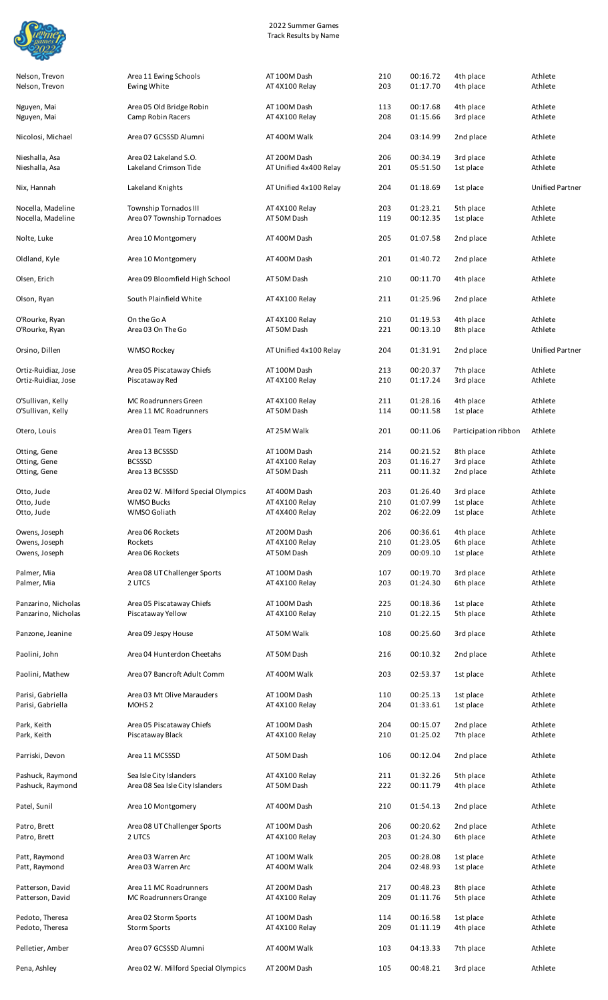

| Nelson, Trevon |  |
|----------------|--|
| Nelson, Trevon |  |

Area 11 Ewing Schools **AT 100M Dash** 210 00:16.72 4th place Athlete

| Nelson, Trevon                             | Ewing White                                                | AT 4X100 Relay                         | 203        | 01:17.70             | 4th place              | Athlete                |
|--------------------------------------------|------------------------------------------------------------|----------------------------------------|------------|----------------------|------------------------|------------------------|
| Nguyen, Mai<br>Nguyen, Mai                 | Area 05 Old Bridge Robin<br>Camp Robin Racers              | AT 100M Dash<br>AT 4X100 Relay         | 113<br>208 | 00:17.68<br>01:15.66 | 4th place<br>3rd place | Athlete<br>Athlete     |
| Nicolosi, Michael                          | Area 07 GCSSSD Alumni                                      | AT 400M Walk                           | 204        | 03:14.99             | 2nd place              | Athlete                |
| Nieshalla, Asa<br>Nieshalla, Asa           | Area 02 Lakeland S.O.<br>Lakeland Crimson Tide             | AT 200M Dash<br>AT Unified 4x400 Relay | 206<br>201 | 00:34.19<br>05:51.50 | 3rd place<br>1st place | Athlete<br>Athlete     |
| Nix, Hannah                                | Lakeland Knights                                           | AT Unified 4x100 Relay                 | 204        | 01:18.69             | 1st place              | <b>Unified Partner</b> |
| Nocella, Madeline<br>Nocella, Madeline     | <b>Township Tornados III</b><br>Area 07 Township Tornadoes | AT 4X100 Relay<br>AT 50M Dash          | 203<br>119 | 01:23.21<br>00:12.35 | 5th place<br>1st place | Athlete<br>Athlete     |
| Nolte, Luke                                | Area 10 Montgomery                                         | AT 400M Dash                           | 205        | 01:07.58             | 2nd place              | Athlete                |
| Oldland, Kyle                              | Area 10 Montgomery                                         | AT 400M Dash                           | 201        | 01:40.72             | 2nd place              | Athlete                |
| Olsen, Erich                               | Area 09 Bloomfield High School                             | AT 50M Dash                            | 210        | 00:11.70             | 4th place              | Athlete                |
| Olson, Ryan                                | South Plainfield White                                     | AT 4X100 Relay                         | 211        | 01:25.96             | 2nd place              | Athlete                |
| O'Rourke, Ryan<br>O'Rourke, Ryan           | On the Go A<br>Area 03 On The Go                           | AT 4X100 Relay<br>AT 50M Dash          | 210<br>221 | 01:19.53<br>00:13.10 | 4th place<br>8th place | Athlete<br>Athlete     |
| Orsino, Dillen                             | <b>WMSO Rockey</b>                                         | AT Unified 4x100 Relay                 | 204        | 01:31.91             | 2nd place              | <b>Unified Partner</b> |
| Ortiz-Ruidiaz, Jose<br>Ortiz-Ruidiaz, Jose | Area 05 Piscataway Chiefs                                  | AT 100M Dash                           | 213<br>210 | 00:20.37<br>01:17.24 | 7th place<br>3rd place | Athlete<br>Athlete     |
|                                            | Piscataway Red                                             | AT 4X100 Relay                         |            |                      |                        |                        |
| O'Sullivan, Kelly<br>O'Sullivan, Kelly     | MC Roadrunners Green<br>Area 11 MC Roadrunners             | AT 4X100 Relay<br>AT 50M Dash          | 211<br>114 | 01:28.16<br>00:11.58 | 4th place<br>1st place | Athlete<br>Athlete     |
| Otero, Louis                               | Area 01 Team Tigers                                        | AT 25M Walk                            | 201        | 00:11.06             | Participation ribbon   | Athlete                |
| Otting, Gene                               | Area 13 BCSSSD                                             | AT 100M Dash                           | 214        | 00:21.52             | 8th place              | Athlete                |
| Otting, Gene                               | <b>BCSSSD</b>                                              | AT 4X100 Relay                         | 203        | 01:16.27             | 3rd place              | Athlete                |
| Otting, Gene                               | Area 13 BCSSSD                                             | AT 50M Dash                            | 211        | 00:11.32             | 2nd place              | Athlete                |
| Otto, Jude                                 | Area 02 W. Milford Special Olympics                        | AT 400M Dash                           | 203        | 01:26.40             | 3rd place              | Athlete                |
| Otto, Jude<br>Otto, Jude                   | <b>WMSO Bucks</b><br>WMSO Goliath                          | AT 4X100 Relay<br>AT 4X400 Relay       | 210<br>202 | 01:07.99<br>06:22.09 | 1st place<br>1st place | Athlete<br>Athlete     |
|                                            |                                                            |                                        |            |                      |                        |                        |
| Owens, Joseph                              | Area 06 Rockets                                            | AT 200M Dash                           | 206        | 00:36.61             | 4th place              | Athlete                |
| Owens, Joseph<br>Owens, Joseph             | Rockets<br>Area 06 Rockets                                 | AT 4X100 Relay<br>AT 50M Dash          | 210<br>209 | 01:23.05<br>00:09.10 | 6th place<br>1st place | Athlete<br>Athlete     |
|                                            |                                                            |                                        |            |                      |                        |                        |
| Palmer, Mia                                | Area 08 UT Challenger Sports                               | AT 100M Dash                           | 107        | 00:19.70             | 3rd place              | Athlete                |
| Palmer, Mia                                | 2 UTCS                                                     | AT 4X100 Relay                         | 203        | 01:24.30             | 6th place              | Athlete                |
| Panzarino, Nicholas                        | Area 05 Piscataway Chiefs                                  | AT 100M Dash                           | 225        | 00:18.36             | 1st place              | Athlete                |
| Panzarino, Nicholas                        | Piscataway Yellow                                          | AT 4X100 Relay<br>AT 50M Walk          | 210        | 01:22.15<br>00:25.60 | 5th place              | Athlete<br>Athlete     |
| Panzone, Jeanine                           | Area 09 Jespy House                                        |                                        | 108        |                      | 3rd place              |                        |
| Paolini, John                              | Area 04 Hunterdon Cheetahs                                 | AT 50M Dash                            | 216        | 00:10.32             | 2nd place              | Athlete                |
| Paolini, Mathew                            | Area 07 Bancroft Adult Comm                                | AT 400M Walk                           | 203        | 02:53.37             | 1st place              | Athlete                |
| Parisi, Gabriella<br>Parisi, Gabriella     | Area 03 Mt Olive Marauders<br>MOHS <sub>2</sub>            | AT 100M Dash<br>AT 4X100 Relay         | 110<br>204 | 00:25.13<br>01:33.61 | 1st place<br>1st place | Athlete<br>Athlete     |
| Park, Keith                                | Area 05 Piscataway Chiefs                                  | AT 100M Dash                           | 204        | 00:15.07             | 2nd place              | Athlete                |
| Park, Keith                                | Piscataway Black                                           | AT 4X100 Relay                         | 210        | 01:25.02             | 7th place              | Athlete                |
| Parriski, Devon                            | Area 11 MCSSSD                                             | AT 50M Dash                            | 106        | 00:12.04             | 2nd place              | Athlete                |
| Pashuck, Raymond<br>Pashuck, Raymond       | Sea Isle City Islanders<br>Area 08 Sea Isle City Islanders | AT 4X100 Relay<br>AT 50M Dash          | 211<br>222 | 01:32.26<br>00:11.79 | 5th place<br>4th place | Athlete<br>Athlete     |
| Patel, Sunil                               | Area 10 Montgomery                                         | AT 400M Dash                           | 210        | 01:54.13             | 2nd place              | Athlete                |
| Patro, Brett                               | Area 08 UT Challenger Sports                               | AT 100M Dash                           | 206        | 00:20.62             | 2nd place              | Athlete                |
| Patro, Brett                               | 2 UTCS                                                     | AT 4X100 Relay                         | 203        | 01:24.30             | 6th place              | Athlete                |
| Patt, Raymond<br>Patt, Raymond             | Area 03 Warren Arc<br>Area 03 Warren Arc                   | AT 100M Walk<br>AT 400M Walk           | 205<br>204 | 00:28.08<br>02:48.93 | 1st place<br>1st place | Athlete<br>Athlete     |
| Patterson, David<br>Patterson, David       | Area 11 MC Roadrunners<br>MC Roadrunners Orange            | AT 200M Dash<br>AT 4X100 Relay         | 217<br>209 | 00:48.23<br>01:11.76 | 8th place<br>5th place | Athlete<br>Athlete     |
| Pedoto, Theresa<br>Pedoto, Theresa         | Area 02 Storm Sports<br><b>Storm Sports</b>                | AT 100M Dash<br>AT 4X100 Relay         | 114<br>209 | 00:16.58<br>01:11.19 | 1st place<br>4th place | Athlete<br>Athlete     |
| Pelletier, Amber                           | Area 07 GCSSSD Alumni                                      | AT 400M Walk                           | 103        | 04:13.33             | 7th place              | Athlete                |
| Pena, Ashley                               | Area 02 W. Milford Special Olympics                        | AT 200M Dash                           | 105        | 00:48.21             | 3rd place              | Athlete                |
|                                            |                                                            |                                        |            |                      |                        |                        |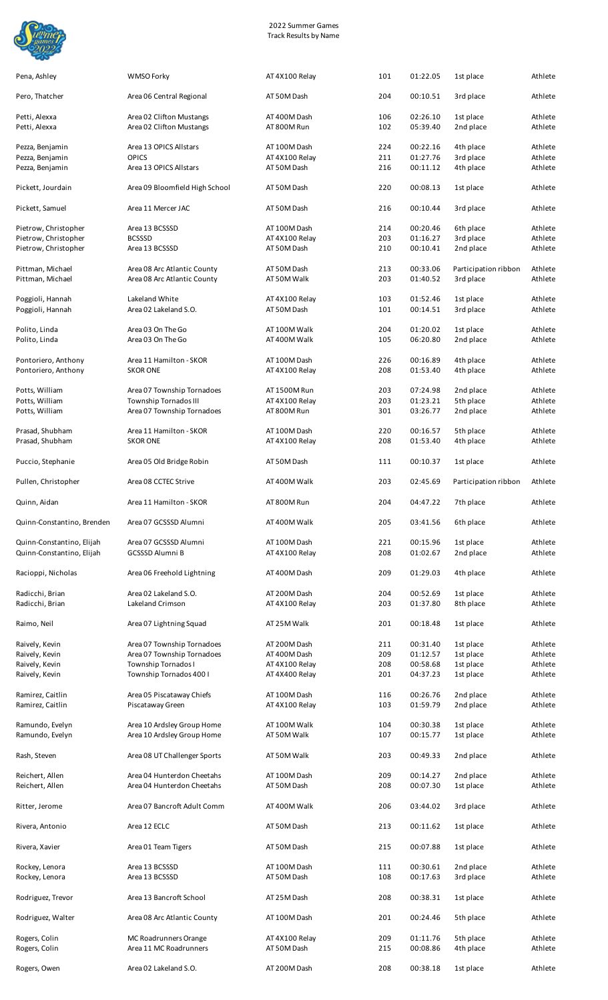

| 2022 Summer Games            |  |
|------------------------------|--|
| <b>Track Results by Name</b> |  |

| Pena, Ashley                                           | WMSO Forky                                                 | AT 4X100 Relay                 | 101        | 01:22.05             | 1st place                         | Athlete            |
|--------------------------------------------------------|------------------------------------------------------------|--------------------------------|------------|----------------------|-----------------------------------|--------------------|
| Pero, Thatcher                                         | Area 06 Central Regional                                   | AT 50M Dash                    | 204        | 00:10.51             | 3rd place                         | Athlete            |
| Petti, Alexxa<br>Petti, Alexxa                         | Area 02 Clifton Mustangs<br>Area 02 Clifton Mustangs       | AT 400M Dash<br>AT 800M Run    | 106<br>102 | 02:26.10<br>05:39.40 | 1st place<br>2nd place            | Athlete<br>Athlete |
|                                                        |                                                            |                                |            |                      |                                   |                    |
| Pezza, Benjamin                                        | Area 13 OPICS Allstars<br><b>OPICS</b>                     | AT 100M Dash                   | 224        | 00:22.16             | 4th place                         | Athlete<br>Athlete |
| Pezza, Benjamin<br>Pezza, Benjamin                     | Area 13 OPICS Allstars                                     | AT 4X100 Relay<br>AT 50M Dash  | 211<br>216 | 01:27.76<br>00:11.12 | 3rd place<br>4th place            | Athlete            |
| Pickett, Jourdain                                      | Area 09 Bloomfield High School                             | AT 50M Dash                    | 220        | 00:08.13             | 1st place                         | Athlete            |
| Pickett, Samuel                                        | Area 11 Mercer JAC                                         | AT 50M Dash                    | 216        | 00:10.44             | 3rd place                         | Athlete            |
| Pietrow, Christopher                                   | Area 13 BCSSSD                                             | AT 100M Dash                   | 214        | 00:20.46             | 6th place                         | Athlete            |
| Pietrow, Christopher                                   | <b>BCSSSD</b>                                              | AT 4X100 Relay                 | 203        | 01:16.27             | 3rd place                         | Athlete            |
| Pietrow, Christopher                                   | Area 13 BCSSSD                                             | AT 50M Dash                    | 210        | 00:10.41             | 2nd place                         | Athlete            |
| Pittman, Michael<br>Pittman, Michael                   | Area 08 Arc Atlantic County<br>Area 08 Arc Atlantic County | AT 50M Dash<br>AT 50M Walk     | 213<br>203 | 00:33.06<br>01:40.52 | Participation ribbon<br>3rd place | Athlete<br>Athlete |
|                                                        |                                                            |                                |            |                      |                                   |                    |
| Poggioli, Hannah<br>Poggioli, Hannah                   | Lakeland White<br>Area 02 Lakeland S.O.                    | AT 4X100 Relay<br>AT 50M Dash  | 103<br>101 | 01:52.46<br>00:14.51 | 1st place<br>3rd place            | Athlete<br>Athlete |
|                                                        |                                                            |                                |            |                      |                                   |                    |
| Polito, Linda<br>Polito, Linda                         | Area 03 On The Go<br>Area 03 On The Go                     | AT 100M Walk<br>AT 400M Walk   | 204<br>105 | 01:20.02<br>06:20.80 | 1st place<br>2nd place            | Athlete<br>Athlete |
|                                                        |                                                            |                                |            |                      |                                   |                    |
| Pontoriero, Anthony<br>Pontoriero, Anthony             | Area 11 Hamilton - SKOR<br><b>SKOR ONE</b>                 | AT 100M Dash<br>AT 4X100 Relay | 226<br>208 | 00:16.89<br>01:53.40 | 4th place<br>4th place            | Athlete<br>Athlete |
|                                                        |                                                            |                                |            |                      |                                   |                    |
| Potts, William                                         | Area 07 Township Tornadoes                                 | AT 1500M Run                   | 203        | 07:24.98             | 2nd place                         | Athlete            |
| Potts, William                                         | Township Tornados III                                      | AT 4X100 Relay                 | 203        | 01:23.21             | 5th place                         | Athlete            |
| Potts, William                                         | Area 07 Township Tornadoes                                 | AT 800M Run                    | 301        | 03:26.77             | 2nd place                         | Athlete            |
|                                                        |                                                            |                                |            |                      |                                   |                    |
| Prasad, Shubham<br>Prasad, Shubham                     | Area 11 Hamilton - SKOR<br><b>SKOR ONE</b>                 | AT 100M Dash<br>AT 4X100 Relay | 220<br>208 | 00:16.57<br>01:53.40 | 5th place<br>4th place            | Athlete<br>Athlete |
| Puccio, Stephanie                                      | Area 05 Old Bridge Robin                                   | AT 50M Dash                    | 111        | 00:10.37             | 1st place                         | Athlete            |
| Pullen, Christopher                                    | Area 08 CCTEC Strive                                       | AT 400M Walk                   | 203        | 02:45.69             | Participation ribbon              | Athlete            |
| Quinn, Aidan                                           | Area 11 Hamilton - SKOR                                    | AT 800M Run                    | 204        | 04:47.22             | 7th place                         | Athlete            |
| Quinn-Constantino, Brenden                             | Area 07 GCSSSD Alumni                                      | AT 400M Walk                   | 205        | 03:41.56             | 6th place                         | Athlete            |
|                                                        |                                                            |                                |            |                      |                                   |                    |
| Quinn-Constantino, Elijah<br>Quinn-Constantino, Elijah | Area 07 GCSSSD Alumni<br><b>GCSSSD Alumni B</b>            | AT 100M Dash<br>AT 4X100 Relay | 221<br>208 | 00:15.96<br>01:02.67 | 1st place<br>2nd place            | Athlete<br>Athlete |
| Racioppi, Nicholas                                     | Area 06 Freehold Lightning                                 | AT 400M Dash                   | 209        | 01:29.03             | 4th place                         | Athlete            |
| Radicchi, Brian                                        | Area 02 Lakeland S.O.                                      | AT 200M Dash                   | 204        | 00:52.69             | 1st place                         | Athlete            |
| Radicchi, Brian                                        | Lakeland Crimson                                           | AT 4X100 Relay                 | 203        | 01:37.80             | 8th place                         | Athlete            |
| Raimo, Neil                                            | Area 07 Lightning Squad                                    | AT 25M Walk                    | 201        | 00:18.48             | 1st place                         | Athlete            |
| Raively, Kevin                                         | Area 07 Township Tornadoes                                 | AT 200M Dash                   | 211        | 00:31.40             | 1st place                         | Athlete            |
| Raively, Kevin                                         | Area 07 Township Tornadoes                                 | AT 400M Dash                   | 209        | 01:12.57             | 1st place                         | Athlete            |
| Raively, Kevin                                         | Township Tornados I                                        | AT 4X100 Relay                 | 208        | 00:58.68             | 1st place                         | Athlete            |
| Raively, Kevin                                         | Township Tornados 400 I                                    | AT 4X400 Relay                 | 201        | 04:37.23             | 1st place                         | Athlete            |
|                                                        |                                                            |                                |            |                      |                                   |                    |
| Ramirez, Caitlin                                       | Area 05 Piscataway Chiefs                                  | AT 100M Dash                   | 116        | 00:26.76             | 2nd place                         | Athlete            |
| Ramirez, Caitlin                                       | Piscataway Green                                           | AT 4X100 Relay                 | 103        | 01:59.79             | 2nd place                         | Athlete            |
|                                                        |                                                            |                                |            |                      |                                   |                    |
| Ramundo, Evelyn<br>Ramundo, Evelyn                     | Area 10 Ardsley Group Home<br>Area 10 Ardsley Group Home   | AT 100M Walk<br>AT 50M Walk    | 104<br>107 | 00:30.38<br>00:15.77 | 1st place<br>1st place            | Athlete<br>Athlete |
| Rash, Steven                                           | Area 08 UT Challenger Sports                               | AT 50M Walk                    | 203        | 00:49.33             | 2nd place                         | Athlete            |
|                                                        |                                                            |                                |            |                      |                                   |                    |
| Reichert, Allen<br>Reichert, Allen                     | Area 04 Hunterdon Cheetahs<br>Area 04 Hunterdon Cheetahs   | AT 100M Dash<br>AT 50M Dash    | 209<br>208 | 00:14.27<br>00:07.30 | 2nd place<br>1st place            | Athlete<br>Athlete |
| Ritter, Jerome                                         | Area 07 Bancroft Adult Comm                                | AT 400M Walk                   | 206        | 03:44.02             | 3rd place                         | Athlete            |
| Rivera, Antonio                                        | Area 12 ECLC                                               | AT 50M Dash                    | 213        | 00:11.62             | 1st place                         | Athlete            |
| Rivera, Xavier                                         | Area 01 Team Tigers                                        | AT 50M Dash                    | 215        | 00:07.88             | 1st place                         | Athlete            |
|                                                        |                                                            |                                |            |                      |                                   |                    |
| Rockey, Lenora<br>Rockey, Lenora                       | Area 13 BCSSSD<br>Area 13 BCSSSD                           | AT 100M Dash<br>AT 50M Dash    | 111<br>108 | 00:30.61<br>00:17.63 | 2nd place<br>3rd place            | Athlete<br>Athlete |
| Rodriguez, Trevor                                      | Area 13 Bancroft School                                    | AT 25M Dash                    | 208        | 00:38.31             | 1st place                         | Athlete            |
| Rodriguez, Walter                                      | Area 08 Arc Atlantic County                                | AT 100M Dash                   | 201        | 00:24.46             | 5th place                         | Athlete            |
|                                                        |                                                            |                                |            |                      |                                   |                    |
| Rogers, Colin<br>Rogers, Colin                         | MC Roadrunners Orange<br>Area 11 MC Roadrunners            | AT 4X100 Relay<br>AT 50M Dash  | 209<br>215 | 01:11.76<br>00:08.86 | 5th place<br>4th place            | Athlete<br>Athlete |
| Rogers, Owen                                           | Area 02 Lakeland S.O.                                      | AT 200M Dash                   | 208        | 00:38.18             | 1st place                         | Athlete            |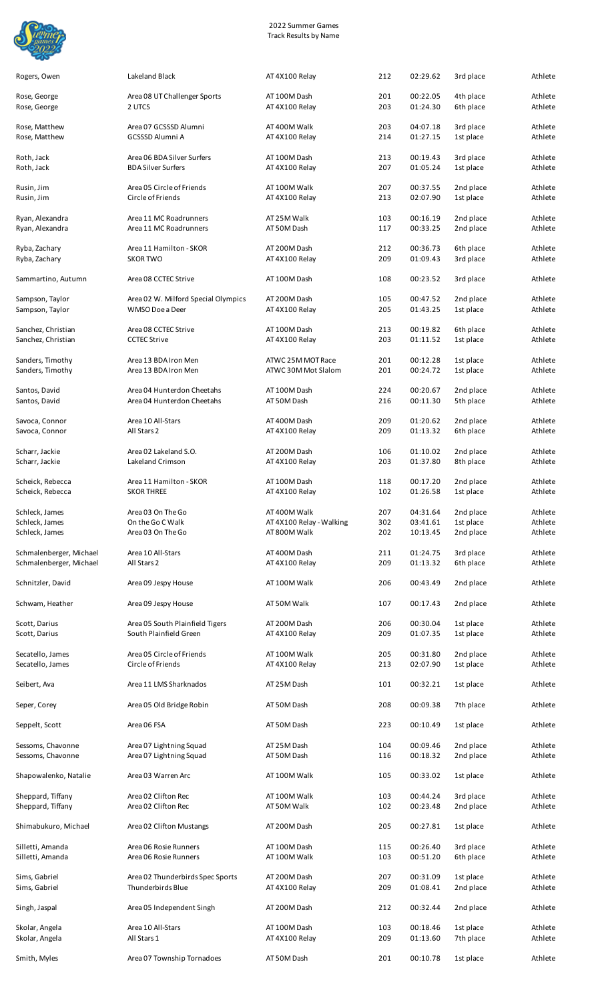

| Rogers, Owen            | Lakeland Black                      | AT 4X100 Relay           | 212 | 02:29.62 | 3rd place | Athlete |
|-------------------------|-------------------------------------|--------------------------|-----|----------|-----------|---------|
| Rose, George            | Area 08 UT Challenger Sports        | AT 100M Dash             | 201 | 00:22.05 | 4th place | Athlete |
| Rose, George            | 2 UTCS                              | AT 4X100 Relay           | 203 | 01:24.30 | 6th place | Athlete |
| Rose, Matthew           | Area 07 GCSSSD Alumni               | AT 400M Walk             | 203 | 04:07.18 | 3rd place | Athlete |
| Rose, Matthew           | <b>GCSSSD Alumni A</b>              | AT 4X100 Relay           | 214 | 01:27.15 | 1st place | Athlete |
| Roth, Jack              | Area 06 BDA Silver Surfers          | AT 100M Dash             | 213 | 00:19.43 | 3rd place | Athlete |
| Roth, Jack              | <b>BDA Silver Surfers</b>           | AT 4X100 Relay           | 207 | 01:05.24 | 1st place | Athlete |
| Rusin, Jim              | Area 05 Circle of Friends           | AT 100M Walk             | 207 | 00:37.55 | 2nd place | Athlete |
| Rusin, Jim              | Circle of Friends                   | AT 4X100 Relay           | 213 | 02:07.90 | 1st place | Athlete |
| Ryan, Alexandra         | Area 11 MC Roadrunners              | AT 25M Walk              | 103 | 00:16.19 | 2nd place | Athlete |
| Ryan, Alexandra         | Area 11 MC Roadrunners              | AT 50M Dash              | 117 | 00:33.25 | 2nd place | Athlete |
| Ryba, Zachary           | Area 11 Hamilton - SKOR             | AT 200M Dash             | 212 | 00:36.73 | 6th place | Athlete |
| Ryba, Zachary           | <b>SKOR TWO</b>                     | AT 4X100 Relay           | 209 | 01:09.43 | 3rd place | Athlete |
| Sammartino, Autumn      | Area 08 CCTEC Strive                | AT 100M Dash             | 108 | 00:23.52 | 3rd place | Athlete |
| Sampson, Taylor         | Area 02 W. Milford Special Olympics | AT 200M Dash             | 105 | 00:47.52 | 2nd place | Athlete |
| Sampson, Taylor         | WMSO Doe a Deer                     | AT 4X100 Relay           | 205 | 01:43.25 | 1st place | Athlete |
| Sanchez, Christian      | Area 08 CCTEC Strive                | AT 100M Dash             | 213 | 00:19.82 | 6th place | Athlete |
| Sanchez, Christian      | <b>CCTEC Strive</b>                 | AT 4X100 Relay           | 203 | 01:11.52 | 1st place | Athlete |
| Sanders, Timothy        | Area 13 BDA Iron Men                | ATWC 25M MOT Race        | 201 | 00:12.28 | 1st place | Athlete |
| Sanders, Timothy        | Area 13 BDA Iron Men                | ATWC 30M Mot Slalom      | 201 | 00:24.72 | 1st place | Athlete |
| Santos, David           | Area 04 Hunterdon Cheetahs          | AT 100M Dash             | 224 | 00:20.67 | 2nd place | Athlete |
| Santos, David           | Area 04 Hunterdon Cheetahs          | AT 50M Dash              | 216 | 00:11.30 | 5th place | Athlete |
| Savoca, Connor          | Area 10 All-Stars                   | AT 400M Dash             | 209 | 01:20.62 | 2nd place | Athlete |
| Savoca, Connor          | All Stars 2                         | AT 4X100 Relay           | 209 | 01:13.32 | 6th place | Athlete |
| Scharr, Jackie          | Area 02 Lakeland S.O.               | AT 200M Dash             | 106 | 01:10.02 | 2nd place | Athlete |
| Scharr, Jackie          | Lakeland Crimson                    | AT 4X100 Relay           | 203 | 01:37.80 | 8th place | Athlete |
| Scheick, Rebecca        | Area 11 Hamilton - SKOR             | AT 100M Dash             | 118 | 00:17.20 | 2nd place | Athlete |
| Scheick, Rebecca        | <b>SKOR THREE</b>                   | AT 4X100 Relay           | 102 | 01:26.58 | 1st place | Athlete |
| Schleck, James          | Area 03 On The Go                   | AT 400M Walk             | 207 | 04:31.64 | 2nd place | Athlete |
| Schleck, James          | On the Go C Walk                    | AT 4X100 Relay - Walking | 302 | 03:41.61 | 1st place | Athlete |
| Schleck, James          | Area 03 On The Go                   | AT 800M Walk             | 202 | 10:13.45 | 2nd place | Athlete |
| Schmalenberger, Michael | Area 10 All-Stars                   | AT 400M Dash             | 211 | 01:24.75 | 3rd place | Athlete |
| Schmalenberger, Michael | All Stars 2                         | AT 4X100 Relay           | 209 | 01:13.32 | 6th place | Athlete |
| Schnitzler, David       | Area 09 Jespy House                 | AT 100M Walk             | 206 | 00:43.49 | 2nd place | Athlete |
| Schwam, Heather         | Area 09 Jespy House                 | AT 50M Walk              | 107 | 00:17.43 | 2nd place | Athlete |
| Scott, Darius           | Area 05 South Plainfield Tigers     | AT 200M Dash             | 206 | 00:30.04 | 1st place | Athlete |
| Scott, Darius           | South Plainfield Green              | AT 4X100 Relay           | 209 | 01:07.35 | 1st place | Athlete |
| Secatello, James        | Area 05 Circle of Friends           | AT 100M Walk             | 205 | 00:31.80 | 2nd place | Athlete |
| Secatello, James        | Circle of Friends                   | AT 4X100 Relay           | 213 | 02:07.90 | 1st place | Athlete |
| Seibert, Ava            | Area 11 LMS Sharknados              | AT 25M Dash              | 101 | 00:32.21 | 1st place | Athlete |
| Seper, Corey            | Area 05 Old Bridge Robin            | AT 50M Dash              | 208 | 00:09.38 | 7th place | Athlete |
| Seppelt, Scott          | Area 06 FSA                         | AT 50M Dash              | 223 | 00:10.49 | 1st place | Athlete |
| Sessoms, Chavonne       | Area 07 Lightning Squad             | AT 25M Dash              | 104 | 00:09.46 | 2nd place | Athlete |
| Sessoms, Chavonne       | Area 07 Lightning Squad             | AT 50M Dash              | 116 | 00:18.32 | 2nd place | Athlete |
| Shapowalenko, Natalie   | Area 03 Warren Arc                  | AT 100M Walk             | 105 | 00:33.02 | 1st place | Athlete |
| Sheppard, Tiffany       | Area 02 Clifton Rec                 | AT 100M Walk             | 103 | 00:44.24 | 3rd place | Athlete |
| Sheppard, Tiffany       | Area 02 Clifton Rec                 | AT 50M Walk              | 102 | 00:23.48 | 2nd place | Athlete |
| Shimabukuro, Michael    | Area 02 Clifton Mustangs            | AT 200M Dash             | 205 | 00:27.81 | 1st place | Athlete |
| Silletti, Amanda        | Area 06 Rosie Runners               | AT 100M Dash             | 115 | 00:26.40 | 3rd place | Athlete |
| Silletti, Amanda        | Area 06 Rosie Runners               | AT 100M Walk             | 103 | 00:51.20 | 6th place | Athlete |
| Sims, Gabriel           | Area 02 Thunderbirds Spec Sports    | AT 200M Dash             | 207 | 00:31.09 | 1st place | Athlete |
| Sims, Gabriel           | Thunderbirds Blue                   | AT 4X100 Relay           | 209 | 01:08.41 | 2nd place | Athlete |
| Singh, Jaspal           | Area 05 Independent Singh           | AT 200M Dash             | 212 | 00:32.44 | 2nd place | Athlete |
| Skolar, Angela          | Area 10 All-Stars                   | AT 100M Dash             | 103 | 00:18.46 | 1st place | Athlete |
| Skolar, Angela          | All Stars 1                         | AT 4X100 Relay           | 209 | 01:13.60 | 7th place | Athlete |
| Smith, Myles            | Area 07 Township Tornadoes          | AT 50M Dash              | 201 | 00:10.78 | 1st place | Athlete |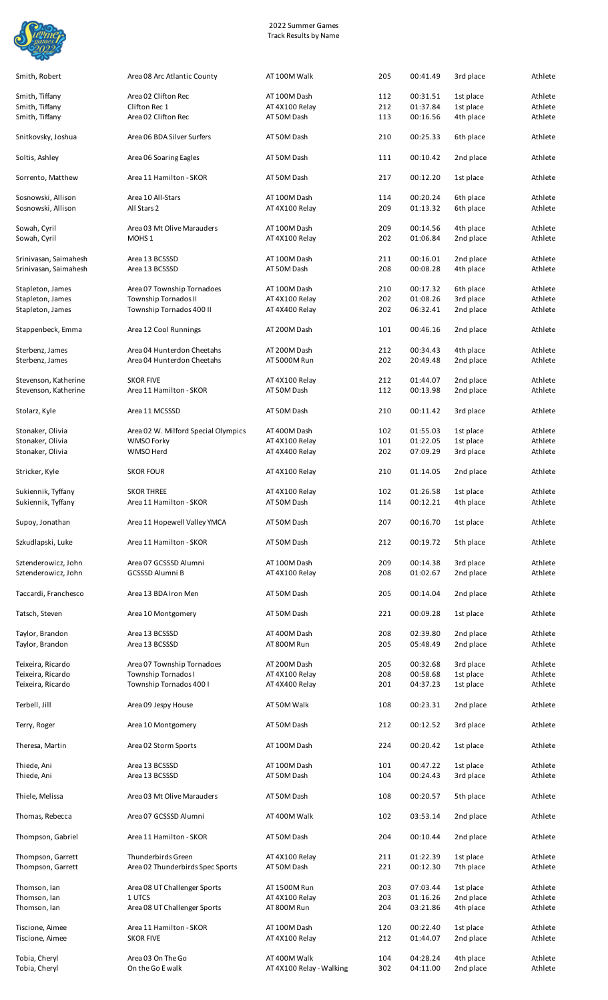

Smith, Robert **Area 08 Arc Atlantic County** AT 100M Walk 205 00:41.49 3rd place Athlete

| Smith, Tiffany                               | Area 02 Clifton Rec                                      | AT 100M Dash                   | 112        | 00:31.51             | 1st place              | Athlete            |
|----------------------------------------------|----------------------------------------------------------|--------------------------------|------------|----------------------|------------------------|--------------------|
| Smith, Tiffany                               | Clifton Rec 1                                            | AT 4X100 Relay                 | 212        | 01:37.84             | 1st place              | Athlete            |
| Smith, Tiffany                               | Area 02 Clifton Rec                                      | AT 50M Dash                    | 113        | 00:16.56             | 4th place              | Athlete            |
| Snitkovsky, Joshua                           | Area 06 BDA Silver Surfers                               | AT 50M Dash                    | 210        | 00:25.33             | 6th place              | Athlete            |
| Soltis, Ashley                               | Area 06 Soaring Eagles                                   | AT 50M Dash                    | 111        | 00:10.42             | 2nd place              | Athlete            |
| Sorrento, Matthew                            | Area 11 Hamilton - SKOR                                  | AT 50M Dash                    | 217        | 00:12.20             | 1st place              | Athlete            |
| Sosnowski, Allison<br>Sosnowski, Allison     | Area 10 All-Stars<br>All Stars 2                         | AT 100M Dash<br>AT 4X100 Relay | 114<br>209 | 00:20.24<br>01:13.32 | 6th place<br>6th place | Athlete<br>Athlete |
| Sowah, Cyril<br>Sowah, Cyril                 | Area 03 Mt Olive Marauders<br>MOHS <sub>1</sub>          | AT 100M Dash<br>AT 4X100 Relay | 209<br>202 | 00:14.56<br>01:06.84 | 4th place<br>2nd place | Athlete<br>Athlete |
| Srinivasan, Saimahesh                        | Area 13 BCSSSD                                           | AT 100M Dash                   | 211        | 00:16.01             | 2nd place              | Athlete            |
| Srinivasan, Saimahesh                        | Area 13 BCSSSD                                           | AT 50M Dash                    | 208        | 00:08.28             | 4th place              | Athlete            |
| Stapleton, James                             | Area 07 Township Tornadoes                               | AT 100M Dash                   | 210        | 00:17.32             | 6th place              | Athlete            |
| Stapleton, James                             | Township Tornados II                                     | AT 4X100 Relay                 | 202        | 01:08.26             | 3rd place              | Athlete            |
| Stapleton, James                             | Township Tornados 400 II                                 | AT 4X400 Relay                 | 202        | 06:32.41             | 2nd place              | Athlete            |
| Stappenbeck, Emma                            | Area 12 Cool Runnings                                    | AT 200M Dash                   | 101        | 00:46.16             | 2nd place              | Athlete            |
| Sterbenz, James                              | Area 04 Hunterdon Cheetahs                               | AT 200M Dash                   | 212        | 00:34.43             | 4th place              | Athlete            |
| Sterbenz, James                              | Area 04 Hunterdon Cheetahs                               | AT 5000M Run                   | 202        | 20:49.48             | 2nd place              | Athlete            |
| Stevenson, Katherine<br>Stevenson, Katherine | <b>SKOR FIVE</b><br>Area 11 Hamilton - SKOR              | AT 4X100 Relay<br>AT 50M Dash  | 212<br>112 | 01:44.07<br>00:13.98 | 2nd place<br>2nd place | Athlete<br>Athlete |
| Stolarz, Kyle                                | Area 11 MCSSSD                                           | AT 50M Dash                    | 210        | 00:11.42             | 3rd place              | Athlete            |
|                                              |                                                          |                                |            |                      |                        |                    |
| Stonaker, Olivia<br>Stonaker, Olivia         | Area 02 W. Milford Special Olympics<br><b>WMSO Forky</b> | AT 400M Dash<br>AT 4X100 Relay | 102<br>101 | 01:55.03<br>01:22.05 | 1st place              | Athlete<br>Athlete |
| Stonaker, Olivia                             | WMSO Herd                                                | AT 4X400 Relay                 | 202        | 07:09.29             | 1st place<br>3rd place | Athlete            |
| Stricker, Kyle                               | <b>SKOR FOUR</b>                                         | AT 4X100 Relay                 | 210        | 01:14.05             | 2nd place              | Athlete            |
|                                              |                                                          |                                |            |                      |                        |                    |
| Sukiennik, Tyffany<br>Sukiennik, Tyffany     | <b>SKOR THREE</b><br>Area 11 Hamilton - SKOR             | AT 4X100 Relay<br>AT 50M Dash  | 102<br>114 | 01:26.58<br>00:12.21 | 1st place<br>4th place | Athlete<br>Athlete |
| Supoy, Jonathan                              | Area 11 Hopewell Valley YMCA                             | AT 50M Dash                    | 207        | 00:16.70             | 1st place              | Athlete            |
| Szkudlapski, Luke                            | Area 11 Hamilton - SKOR                                  | AT 50M Dash                    | 212        | 00:19.72             | 5th place              | Athlete            |
| Sztenderowicz, John                          | Area 07 GCSSSD Alumni                                    | AT 100M Dash                   | 209        | 00:14.38             | 3rd place              | Athlete            |
| Sztenderowicz, John                          | <b>GCSSSD Alumni B</b>                                   | AT 4X100 Relay                 | 208        | 01:02.67             | 2nd place              | Athlete            |
| Taccardi, Franchesco                         | Area 13 BDA Iron Men                                     | AT 50M Dash                    | 205        | 00:14.04             | 2nd place              | Athlete            |
| Tatsch, Steven                               | Area 10 Montgomery                                       | AT 50M Dash                    | 221        | 00:09.28             | 1st place              | Athlete            |
| Taylor, Brandon                              | Area 13 BCSSSD                                           | AT 400M Dash                   | 208        | 02:39.80             | 2nd place              | Athlete            |
| Taylor, Brandon                              | Area 13 BCSSSD                                           | AT 800M Run                    | 205        | 05:48.49             | 2nd place              | Athlete            |
| Teixeira, Ricardo                            | Area 07 Township Tornadoes                               | AT 200M Dash                   | 205        | 00:32.68             | 3rd place              | Athlete            |
| Teixeira, Ricardo                            | Township Tornados I                                      | AT 4X100 Relay                 | 208        | 00:58.68             | 1st place              | Athlete            |
| Teixeira, Ricardo                            | Township Tornados 400 I                                  | AT 4X400 Relay                 | 201        | 04:37.23             | 1st place              | Athlete            |
| Terbell, Jill                                | Area 09 Jespy House                                      | AT 50M Walk                    | 108        | 00:23.31             | 2nd place              | Athlete            |
| Terry, Roger                                 | Area 10 Montgomery                                       | AT 50M Dash                    | 212        | 00:12.52             | 3rd place              | Athlete            |
| Theresa, Martin                              | Area 02 Storm Sports                                     | AT 100M Dash                   | 224        | 00:20.42             | 1st place              | Athlete            |
|                                              |                                                          |                                |            |                      |                        |                    |
| Thiede, Ani<br>Thiede, Ani                   | Area 13 BCSSSD<br>Area 13 BCSSSD                         | AT 100M Dash<br>AT 50M Dash    | 101<br>104 | 00:47.22<br>00:24.43 | 1st place<br>3rd place | Athlete<br>Athlete |
| Thiele, Melissa                              | Area 03 Mt Olive Marauders                               | AT 50M Dash                    | 108        | 00:20.57             | 5th place              | Athlete            |
| Thomas, Rebecca                              | Area 07 GCSSSD Alumni                                    | AT 400M Walk                   | 102        | 03:53.14             | 2nd place              | Athlete            |
| Thompson, Gabriel                            | Area 11 Hamilton - SKOR                                  | AT 50M Dash                    | 204        | 00:10.44             | 2nd place              | Athlete            |
| Thompson, Garrett                            | Thunderbirds Green                                       | AT 4X100 Relay                 | 211        | 01:22.39             | 1st place              | Athlete            |
| Thompson, Garrett                            | Area 02 Thunderbirds Spec Sports                         | AT 50M Dash                    | 221        | 00:12.30             | 7th place              | Athlete            |
| Thomson, Ian                                 | Area 08 UT Challenger Sports                             | AT 1500M Run                   | 203        | 07:03.44             | 1st place              | Athlete            |
| Thomson, Ian                                 | 1 UTCS                                                   | AT 4X100 Relay                 | 203        | 01:16.26             | 2nd place              | Athlete            |
| Thomson, Ian                                 | Area 08 UT Challenger Sports                             | AT 800M Run                    | 204        | 03:21.86             | 4th place              | Athlete            |
| Tiscione, Aimee                              | Area 11 Hamilton - SKOR                                  | AT 100M Dash                   | 120        | 00:22.40             | 1st place              | Athlete            |
| Tiscione, Aimee                              | <b>SKOR FIVE</b>                                         | AT 4X100 Relay                 | 212        | 01:44.07             | 2nd place              | Athlete            |
| Tobia, Cheryl                                | Area 03 On The Go                                        | AT 400M Walk                   | 104        | 04:28.24             | 4th place              | Athlete            |
| Tobia, Cheryl                                | On the Go E walk                                         | AT 4X100 Relay - Walking       | 302        | 04:11.00             | 2nd place              | Athlete            |
|                                              |                                                          |                                |            |                      |                        |                    |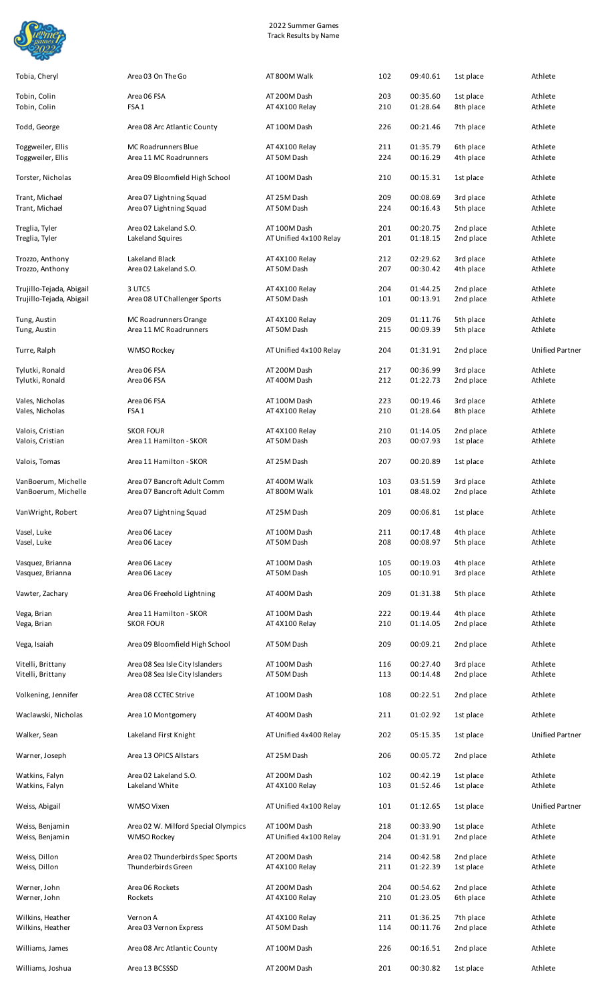

| Tobin, Colin<br>Tobin, Colin                         | Area 06 FSA<br>FSA <sub>1</sub>                            | AT 200M Dash<br>AT 4X100 Relay         | 203<br>210 | 00:35.60<br>01:28.64 | 1st place<br>8th place | Athlete<br>Athlete     |
|------------------------------------------------------|------------------------------------------------------------|----------------------------------------|------------|----------------------|------------------------|------------------------|
| Todd, George                                         | Area 08 Arc Atlantic County                                | AT 100M Dash                           | 226        | 00:21.46             | 7th place              | Athlete                |
| Toggweiler, Ellis<br>Toggweiler, Ellis               | <b>MC Roadrunners Blue</b><br>Area 11 MC Roadrunners       | AT 4X100 Relay<br>AT 50M Dash          | 211<br>224 | 01:35.79<br>00:16.29 | 6th place<br>4th place | Athlete<br>Athlete     |
| Torster, Nicholas                                    | Area 09 Bloomfield High School                             | AT 100M Dash                           | 210        | 00:15.31             | 1st place              | Athlete                |
| Trant, Michael<br>Trant, Michael                     | Area 07 Lightning Squad<br>Area 07 Lightning Squad         | AT 25M Dash<br>AT 50M Dash             | 209<br>224 | 00:08.69<br>00:16.43 | 3rd place<br>5th place | Athlete<br>Athlete     |
| Treglia, Tyler<br>Treglia, Tyler                     | Area 02 Lakeland S.O.<br>Lakeland Squires                  | AT 100M Dash<br>AT Unified 4x100 Relay | 201<br>201 | 00:20.75<br>01:18.15 | 2nd place<br>2nd place | Athlete<br>Athlete     |
| Trozzo, Anthony<br>Trozzo, Anthony                   | Lakeland Black<br>Area 02 Lakeland S.O.                    | AT 4X100 Relay<br>AT 50M Dash          | 212<br>207 | 02:29.62<br>00:30.42 | 3rd place<br>4th place | Athlete<br>Athlete     |
| Trujillo-Tejada, Abigail<br>Trujillo-Tejada, Abigail | 3 UTCS<br>Area 08 UT Challenger Sports                     | AT 4X100 Relay<br>AT 50M Dash          | 204<br>101 | 01:44.25<br>00:13.91 | 2nd place<br>2nd place | Athlete<br>Athlete     |
| Tung, Austin<br>Tung, Austin                         | MC Roadrunners Orange<br>Area 11 MC Roadrunners            | AT 4X100 Relay<br>AT 50M Dash          | 209<br>215 | 01:11.76<br>00:09.39 | 5th place<br>5th place | Athlete<br>Athlete     |
| Turre, Ralph                                         | <b>WMSO Rockey</b>                                         | AT Unified 4x100 Relay                 | 204        | 01:31.91             | 2nd place              | <b>Unified Partner</b> |
| Tylutki, Ronald<br>Tylutki, Ronald                   | Area 06 FSA<br>Area 06 FSA                                 | AT 200M Dash<br>AT 400M Dash           | 217<br>212 | 00:36.99<br>01:22.73 | 3rd place<br>2nd place | Athlete<br>Athlete     |
| Vales, Nicholas                                      | Area 06 FSA                                                | AT 100M Dash                           | 223        | 00:19.46             | 3rd place              | Athlete                |
| Vales, Nicholas                                      | FSA <sub>1</sub>                                           | AT 4X100 Relay                         | 210        | 01:28.64             | 8th place              | Athlete                |
| Valois, Cristian<br>Valois, Cristian                 | <b>SKOR FOUR</b><br>Area 11 Hamilton - SKOR                | AT 4X100 Relay<br>AT 50M Dash          | 210<br>203 | 01:14.05<br>00:07.93 | 2nd place<br>1st place | Athlete<br>Athlete     |
| Valois, Tomas                                        | Area 11 Hamilton - SKOR                                    | AT 25M Dash                            | 207        | 00:20.89             | 1st place              | Athlete                |
| VanBoerum, Michelle<br>VanBoerum, Michelle           | Area 07 Bancroft Adult Comm<br>Area 07 Bancroft Adult Comm | AT 400M Walk<br>AT 800M Walk           | 103<br>101 | 03:51.59<br>08:48.02 | 3rd place<br>2nd place | Athlete<br>Athlete     |
| VanWright, Robert                                    | Area 07 Lightning Squad                                    | AT 25M Dash                            | 209        | 00:06.81             | 1st place              | Athlete                |
| Vasel, Luke<br>Vasel, Luke                           | Area 06 Lacey<br>Area 06 Lacey                             | AT 100M Dash<br>AT 50M Dash            | 211<br>208 | 00:17.48<br>00:08.97 | 4th place<br>5th place | Athlete<br>Athlete     |
| Vasquez, Brianna<br>Vasquez, Brianna                 | Area 06 Lacey<br>Area 06 Lacey                             | AT 100M Dash<br>AT 50M Dash            | 105<br>105 | 00:19.03<br>00:10.91 | 4th place<br>3rd place | Athlete<br>Athlete     |
| Vawter, Zachary                                      | Area 06 Freehold Lightning                                 | AT 400M Dash                           | 209        | 01:31.38             | 5th place              | Athlete                |
| Vega, Brian<br>Vega, Brian                           | Area 11 Hamilton - SKOR<br><b>SKOR FOUR</b>                | AT 100M Dash<br>AT 4X100 Relay         | 222<br>210 | 00:19.44<br>01:14.05 | 4th place<br>2nd place | Athlete<br>Athlete     |
| Vega, Isaiah                                         | Area 09 Bloomfield High School                             | AT 50M Dash                            | 209        | 00:09.21             | 2nd place              | Athlete                |
| Vitelli, Brittany                                    | Area 08 Sea Isle City Islanders                            | AT 100M Dash                           | 116        | 00:27.40             | 3rd place              | Athlete                |
| Vitelli, Brittany                                    | Area 08 Sea Isle City Islanders                            | AT 50M Dash                            | 113        | 00:14.48             | 2nd place              | Athlete                |
| Volkening, Jennifer                                  | Area 08 CCTEC Strive                                       | AT 100M Dash                           | 108        | 00:22.51             | 2nd place              | Athlete                |
| Waclawski, Nicholas                                  | Area 10 Montgomery                                         | AT 400M Dash                           | 211        | 01:02.92             | 1st place              | Athlete                |
| Walker, Sean                                         | Lakeland First Knight                                      | AT Unified 4x400 Relay                 | 202        | 05:15.35             | 1st place              | Unified Partner        |
| Warner, Joseph                                       | Area 13 OPICS Allstars                                     | AT 25M Dash                            | 206        | 00:05.72             | 2nd place              | Athlete                |
| Watkins, Falyn<br>Watkins, Falyn                     | Area 02 Lakeland S.O.<br>Lakeland White                    | AT 200M Dash<br>AT 4X100 Relay         | 102<br>103 | 00:42.19<br>01:52.46 | 1st place<br>1st place | Athlete<br>Athlete     |
| Weiss, Abigail                                       | WMSO Vixen                                                 | AT Unified 4x100 Relay                 | 101        | 01:12.65             | 1st place              | Unified Partner        |
| Weiss, Benjamin<br>Weiss, Benjamin                   | Area 02 W. Milford Special Olympics<br><b>WMSO Rockey</b>  | AT 100M Dash<br>AT Unified 4x100 Relay | 218<br>204 | 00:33.90<br>01:31.91 | 1st place<br>2nd place | Athlete<br>Athlete     |
| Weiss, Dillon<br>Weiss, Dillon                       | Area 02 Thunderbirds Spec Sports<br>Thunderbirds Green     | AT 200M Dash<br>AT 4X100 Relay         | 214<br>211 | 00:42.58<br>01:22.39 | 2nd place<br>1st place | Athlete<br>Athlete     |
| Werner, John<br>Werner, John                         | Area 06 Rockets<br>Rockets                                 | AT 200M Dash<br>AT 4X100 Relay         | 204<br>210 | 00:54.62<br>01:23.05 | 2nd place<br>6th place | Athlete<br>Athlete     |
| Wilkins, Heather<br>Wilkins, Heather                 | Vernon A<br>Area 03 Vernon Express                         | AT 4X100 Relay<br>AT 50M Dash          | 211<br>114 | 01:36.25<br>00:11.76 | 7th place<br>2nd place | Athlete<br>Athlete     |
| Williams, James                                      | Area 08 Arc Atlantic County                                | AT 100M Dash                           | 226        | 00:16.51             | 2nd place              | Athlete                |
| Williams, Joshua                                     | Area 13 BCSSSD                                             | AT 200M Dash                           | 201        | 00:30.82             | 1st place              | Athlete                |
|                                                      |                                                            |                                        |            |                      |                        |                        |